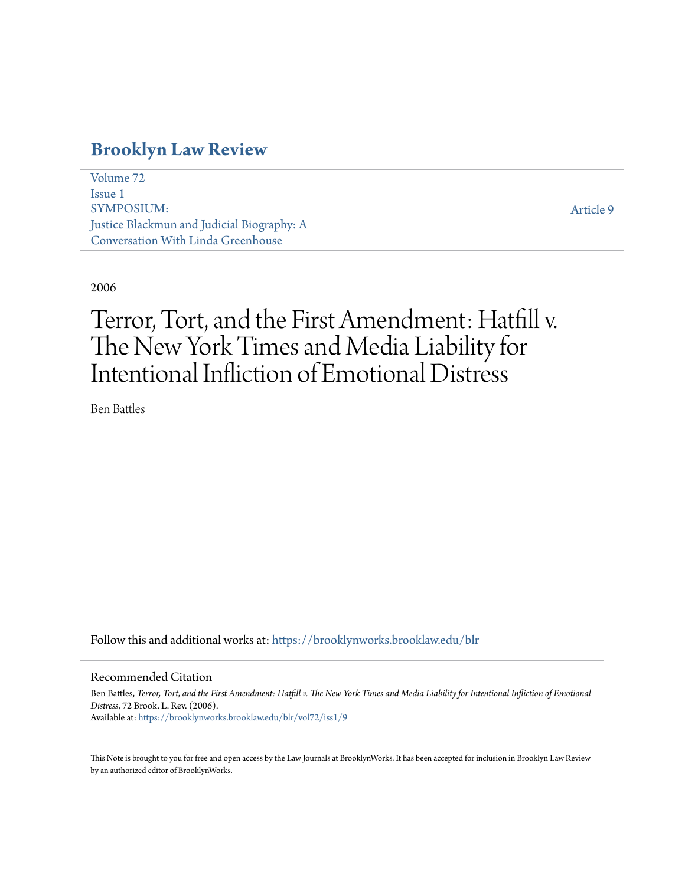# **[Brooklyn Law Review](https://brooklynworks.brooklaw.edu/blr?utm_source=brooklynworks.brooklaw.edu%2Fblr%2Fvol72%2Fiss1%2F9&utm_medium=PDF&utm_campaign=PDFCoverPages)**

[Volume 72](https://brooklynworks.brooklaw.edu/blr/vol72?utm_source=brooklynworks.brooklaw.edu%2Fblr%2Fvol72%2Fiss1%2F9&utm_medium=PDF&utm_campaign=PDFCoverPages) [Issue 1](https://brooklynworks.brooklaw.edu/blr/vol72/iss1?utm_source=brooklynworks.brooklaw.edu%2Fblr%2Fvol72%2Fiss1%2F9&utm_medium=PDF&utm_campaign=PDFCoverPages) SYMPOSIUM: Justice Blackmun and Judicial Biography: A Conversation With Linda Greenhouse

[Article 9](https://brooklynworks.brooklaw.edu/blr/vol72/iss1/9?utm_source=brooklynworks.brooklaw.edu%2Fblr%2Fvol72%2Fiss1%2F9&utm_medium=PDF&utm_campaign=PDFCoverPages)

# 2006

# Terror, Tort, and the First Amendment: Hatfill v. The New York Times and Media Liability for Intentional Infliction of Emotional Distress

Ben Battles

Follow this and additional works at: [https://brooklynworks.brooklaw.edu/blr](https://brooklynworks.brooklaw.edu/blr?utm_source=brooklynworks.brooklaw.edu%2Fblr%2Fvol72%2Fiss1%2F9&utm_medium=PDF&utm_campaign=PDFCoverPages)

#### Recommended Citation

Ben Battles, *Terror, Tort, and the First Amendment: Hatfill v. The New York Times and Media Liability for Intentional Infliction of Emotional Distress*, 72 Brook. L. Rev. (2006). Available at: [https://brooklynworks.brooklaw.edu/blr/vol72/iss1/9](https://brooklynworks.brooklaw.edu/blr/vol72/iss1/9?utm_source=brooklynworks.brooklaw.edu%2Fblr%2Fvol72%2Fiss1%2F9&utm_medium=PDF&utm_campaign=PDFCoverPages)

This Note is brought to you for free and open access by the Law Journals at BrooklynWorks. It has been accepted for inclusion in Brooklyn Law Review by an authorized editor of BrooklynWorks.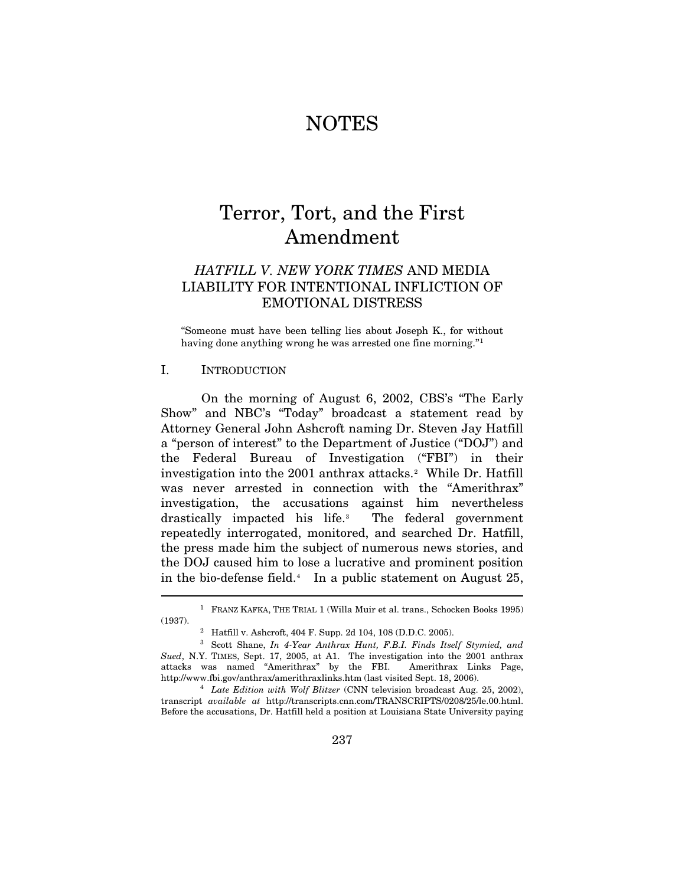# NOTES

# Terror, Tort, and the First Amendment

# *HATFILL V. NEW YORK TIMES* AND MEDIA LIABILITY FOR INTENTIONAL INFLICTION OF EMOTIONAL DISTRESS

"Someone must have been telling lies about Joseph K., for without having done anything wrong he was arrested one fine morning."[1](#page-1-0)

# I. INTRODUCTION

 $\overline{a}$ 

On the morning of August 6, 2002, CBS's "The Early Show" and NBC's "Today" broadcast a statement read by Attorney General John Ashcroft naming Dr. Steven Jay Hatfill a "person of interest" to the Department of Justice ("DOJ") and the Federal Bureau of Investigation ("FBI") in their investigation into the 2001 anthrax attacks.<sup>2</sup> While Dr. Hatfill was never arrested in connection with the "Amerithrax" investigation, the accusations against him nevertheless drastically impacted his life.[3](#page-1-2) The federal government repeatedly interrogated, monitored, and searched Dr. Hatfill, the press made him the subject of numerous news stories, and the DOJ caused him to lose a lucrative and prominent position in the bio-defense field. $4$  In a public statement on August 25,

<span id="page-1-3"></span>transcript *available at* http://transcripts.cnn.com/TRANSCRIPTS/0208/25/le.00.html. Before the accusations, Dr. Hatfill held a position at Louisiana State University paying

<span id="page-1-0"></span><sup>1</sup> FRANZ KAFKA, THE TRIAL 1 (Willa Muir et al. trans., Schocken Books 1995) (1937). 2 Hatfill v. Ashcroft, 404 F. Supp. 2d 104, 108 (D.D.C. 2005).

<span id="page-1-2"></span><span id="page-1-1"></span><sup>3</sup> Scott Shane, *In 4-Year Anthrax Hunt, F.B.I. Finds Itself Stymied, and Sued*, N.Y. TIMES, Sept. 17, 2005, at A1. The investigation into the 2001 anthrax attacks was named "Amerithrax" by the FBI. Amerithrax Links Page, http://www.fbi.gov/anthrax/amerithraxlinks.htm (last visited Sept. 18, 2006). 4 *Late Edition with Wolf Blitzer* (CNN television broadcast Aug. 25, 2002),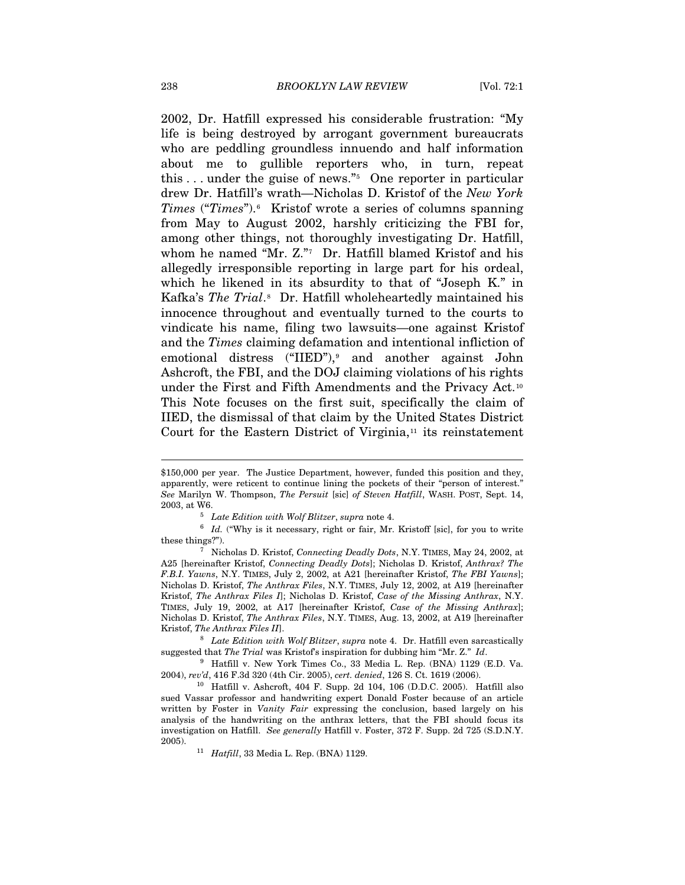2002, Dr. Hatfill expressed his considerable frustration: "My life is being destroyed by arrogant government bureaucrats who are peddling groundless innuendo and half information about me to gullible reporters who, in turn, repeat this  $\dots$  under the guise of news."<sup>[5](#page-2-0)</sup> One reporter in particular drew Dr. Hatfill's wrath—Nicholas D. Kristof of the *New York Times* ("*Times*").[6](#page-2-1) Kristof wrote a series of columns spanning from May to August 2002, harshly criticizing the FBI for, among other things, not thoroughly investigating Dr. Hatfill, whom he named "Mr. Z."[7](#page-2-2) Dr. Hatfill blamed Kristof and his allegedly irresponsible reporting in large part for his ordeal, which he likened in its absurdity to that of "Joseph K." in Kafka's *The Trial*.<sup>[8](#page-2-3)</sup> Dr. Hatfill wholeheartedly maintained his innocence throughout and eventually turned to the courts to vindicate his name, filing two lawsuits—one against Kristof and the *Times* claiming defamation and intentional infliction of emotional distress ("IIED"),<sup>[9](#page-2-4)</sup> and another against John Ashcroft, the FBI, and the DOJ claiming violations of his rights under the First and Fifth Amendments and the Privacy Act.[10](#page-2-5) This Note focuses on the first suit, specifically the claim of IIED, the dismissal of that claim by the United States District Court for the Eastern District of Virginia, $11$  its reinstatement

<sup>\$150,000</sup> per year. The Justice Department, however, funded this position and they, apparently, were reticent to continue lining the pockets of their "person of interest." *See* Marilyn W. Thompson, *The Persuit* [sic] *of Steven Hatfill*, WASH. POST, Sept. 14,

<span id="page-2-1"></span><span id="page-2-0"></span><sup>2003,</sup> at W6. 5 *Late Edition with Wolf Blitzer*, *supra* note 4. 6 *Id.* ("Why is it necessary, right or fair, Mr. Kristoff [sic], for you to write these things?"). 7 Nicholas D. Kristof, *Connecting Deadly Dots*, N.Y. TIMES, May 24, 2002, at

<span id="page-2-2"></span>A25 [hereinafter Kristof, *Connecting Deadly Dots*]; Nicholas D. Kristof, *Anthrax? The F.B.I. Yawns*, N.Y. TIMES, July 2, 2002, at A21 [hereinafter Kristof, *The FBI Yawns*]; Nicholas D. Kristof, *The Anthrax Files*, N.Y. TIMES, July 12, 2002, at A19 [hereinafter Kristof, *The Anthrax Files I*]; Nicholas D. Kristof, *Case of the Missing Anthrax*, N.Y. TIMES, July 19, 2002, at A17 [hereinafter Kristof, *Case of the Missing Anthrax*]; Nicholas D. Kristof, *The Anthrax Files*, N.Y. TIMES, Aug. 13, 2002, at A19 [hereinafter Kristof, *The Anthrax Files II*]. 8 *Late Edition with Wolf Blitzer*, *supra* note 4. Dr. Hatfill even sarcastically

<span id="page-2-3"></span>suggested that *The Trial* was Kristof's inspiration for dubbing him "Mr. Z." *Id*. <sup>9</sup> Hatfill v. New York Times Co., 33 Media L. Rep. (BNA) 1129 (E.D. Va.

<span id="page-2-4"></span><sup>2004),</sup> *rev'd*, 416 F.3d 320 (4th Cir. 2005), *cert. denied*, 126 S. Ct. 1619 (2006). 10 Hatfill v. Ashcroft, 404 F. Supp. 2d 104, 106 (D.D.C. 2005). Hatfill also

<span id="page-2-6"></span><span id="page-2-5"></span>sued Vassar professor and handwriting expert Donald Foster because of an article written by Foster in *Vanity Fair* expressing the conclusion, based largely on his analysis of the handwriting on the anthrax letters, that the FBI should focus its investigation on Hatfill. *See generally* Hatfill v. Foster, 372 F. Supp. 2d 725 (S.D.N.Y. 2005). 11 *Hatfill*, 33 Media L. Rep. (BNA) 1129.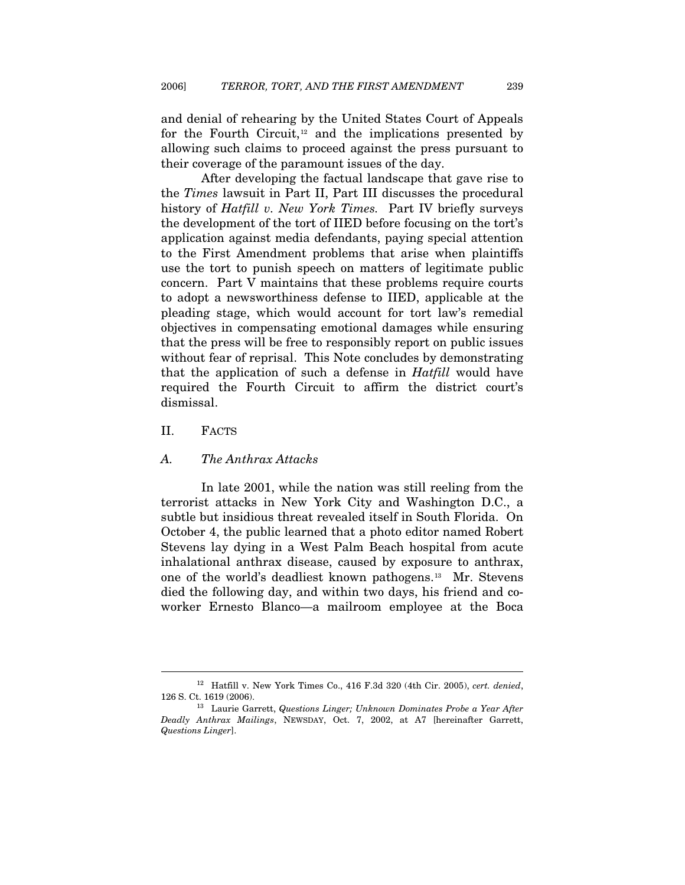and denial of rehearing by the United States Court of Appeals for the Fourth Circuit, $12$  and the implications presented by allowing such claims to proceed against the press pursuant to their coverage of the paramount issues of the day.

After developing the factual landscape that gave rise to the *Times* lawsuit in Part II, Part III discusses the procedural history of *Hatfill v. New York Times.* Part IV briefly surveys the development of the tort of IIED before focusing on the tort's application against media defendants, paying special attention to the First Amendment problems that arise when plaintiffs use the tort to punish speech on matters of legitimate public concern. Part V maintains that these problems require courts to adopt a newsworthiness defense to IIED, applicable at the pleading stage, which would account for tort law's remedial objectives in compensating emotional damages while ensuring that the press will be free to responsibly report on public issues without fear of reprisal. This Note concludes by demonstrating that the application of such a defense in *Hatfill* would have required the Fourth Circuit to affirm the district court's dismissal.

II. FACTS

 $\overline{a}$ 

#### *A. The Anthrax Attacks*

In late 2001, while the nation was still reeling from the terrorist attacks in New York City and Washington D.C., a subtle but insidious threat revealed itself in South Florida. On October 4, the public learned that a photo editor named Robert Stevens lay dying in a West Palm Beach hospital from acute inhalational anthrax disease, caused by exposure to anthrax, one of the world's deadliest known pathogens[.13](#page-3-1) Mr. Stevens died the following day, and within two days, his friend and coworker Ernesto Blanco—a mailroom employee at the Boca

<span id="page-3-0"></span><sup>12</sup> Hatfill v. New York Times Co., 416 F.3d 320 (4th Cir. 2005), *cert. denied*, 126 S. Ct. 1619 (2006). 13 Laurie Garrett, *Questions Linger; Unknown Dominates Probe a Year After* 

<span id="page-3-1"></span>*Deadly Anthrax Mailings*, NEWSDAY, Oct. 7, 2002, at A7 [hereinafter Garrett, *Questions Linger*].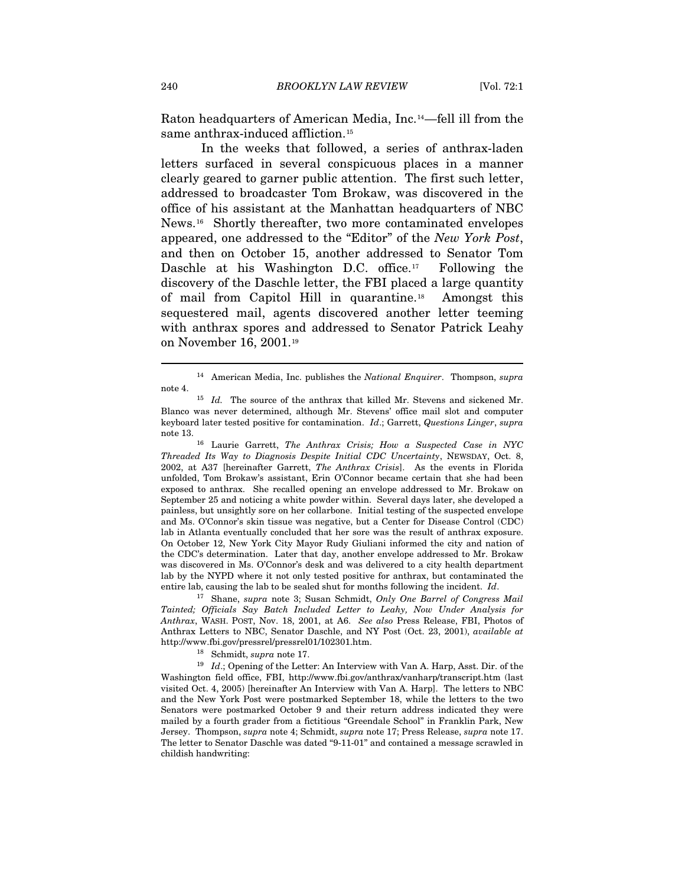Raton headquarters of American Media, Inc.[14](#page-4-0)—fell ill from the same anthrax-induced affliction.<sup>[15](#page-4-1)</sup>

In the weeks that followed, a series of anthrax-laden letters surfaced in several conspicuous places in a manner clearly geared to garner public attention. The first such letter, addressed to broadcaster Tom Brokaw, was discovered in the office of his assistant at the Manhattan headquarters of NBC News.[16](#page-4-2) Shortly thereafter, two more contaminated envelopes appeared, one addressed to the "Editor" of the *New York Post*, and then on October 15, another addressed to Senator Tom Daschle at his Washington D.C. office.<sup>[17](#page-4-3)</sup> Following the discovery of the Daschle letter, the FBI placed a large quantity of mail from Capitol Hill in quarantine.[18](#page-4-4) Amongst this sequestered mail, agents discovered another letter teeming with anthrax spores and addressed to Senator Patrick Leahy on November 16, 2001.[19](#page-4-5)

<span id="page-4-2"></span>*Threaded Its Way to Diagnosis Despite Initial CDC Uncertainty*, NEWSDAY, Oct. 8, 2002, at A37 [hereinafter Garrett, *The Anthrax Crisis*]. As the events in Florida unfolded, Tom Brokaw's assistant, Erin O'Connor became certain that she had been exposed to anthrax. She recalled opening an envelope addressed to Mr. Brokaw on September 25 and noticing a white powder within. Several days later, she developed a painless, but unsightly sore on her collarbone. Initial testing of the suspected envelope and Ms. O'Connor's skin tissue was negative, but a Center for Disease Control (CDC) lab in Atlanta eventually concluded that her sore was the result of anthrax exposure. On October 12, New York City Mayor Rudy Giuliani informed the city and nation of the CDC's determination. Later that day, another envelope addressed to Mr. Brokaw was discovered in Ms. O'Connor's desk and was delivered to a city health department lab by the NYPD where it not only tested positive for anthrax, but contaminated the

<span id="page-4-3"></span>entire lab, causing the lab to be sealed shut for months following the incident. *Id*. 17 Shane, *supra* note 3; Susan Schmidt, *Only One Barrel of Congress Mail Tainted; Officials Say Batch Included Letter to Leahy, Now Under Analysis for Anthrax*, WASH. POST, Nov. 18, 2001, at A6. *See also* Press Release, FBI, Photos of Anthrax Letters to NBC, Senator Daschle, and NY Post (Oct. 23, 2001), *available at* 

<span id="page-4-5"></span><span id="page-4-4"></span>http://www.fbi.gov/pressrel/pressrel01/102301.htm.<br><sup>18</sup> Schmidt, *supra* note 17.<br><sup>19</sup> *Id*.; Opening of the Letter: An Interview with Van A. Harp, Asst. Dir. of the Washington field office, FBI, http://www.fbi.gov/anthrax/vanharp/transcript.htm (last visited Oct. 4, 2005) [hereinafter An Interview with Van A. Harp]. The letters to NBC and the New York Post were postmarked September 18, while the letters to the two Senators were postmarked October 9 and their return address indicated they were mailed by a fourth grader from a fictitious "Greendale School" in Franklin Park, New Jersey. Thompson, *supra* note 4; Schmidt, *supra* note 17; Press Release, *supra* note 17. The letter to Senator Daschle was dated "9-11-01" and contained a message scrawled in childish handwriting:

<sup>14</sup> American Media, Inc. publishes the *National Enquirer*. Thompson, *supra* 

<span id="page-4-1"></span><span id="page-4-0"></span>note 4. 15 *Id.* The source of the anthrax that killed Mr. Stevens and sickened Mr. Blanco was never determined, although Mr. Stevens' office mail slot and computer keyboard later tested positive for contamination. *Id*.; Garrett, *Questions Linger*, *supra* note 13. 16 Laurie Garrett, *The Anthrax Crisis; How a Suspected Case in NYC*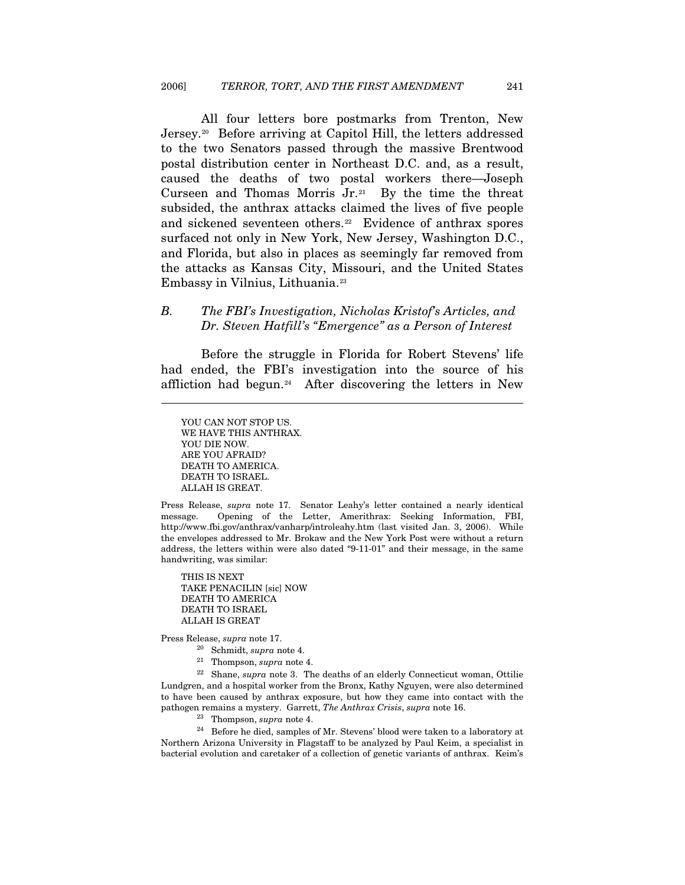All four letters bore postmarks from Trenton, New Jersey.[20](#page-5-0) Before arriving at Capitol Hill, the letters addressed to the two Senators passed through the massive Brentwood postal distribution center in Northeast D.C. and, as a result, caused the deaths of two postal workers there—Joseph Curseen and Thomas Morris  $Jr^{21}$  $Jr^{21}$  $Jr^{21}$  By the time the threat subsided, the anthrax attacks claimed the lives of five people and sickened seventeen others.<sup>[22](#page-5-2)</sup> Evidence of anthrax spores surfaced not only in New York, New Jersey, Washington D.C., and Florida, but also in places as seemingly far removed from the attacks as Kansas City, Missouri, and the United States Embassy in Vilnius, Lithuania.[23](#page-5-3)

# *B. The FBI's Investigation, Nicholas Kristof's Articles, and Dr. Steven Hatfill's "Emergence" as a Person of Interest*

Before the struggle in Florida for Robert Stevens' life had ended, the FBI's investigation into the source of his affliction had begun.<sup>[24](#page-5-4)</sup> After discovering the letters in New

YOU CAN NOT STOP US. WE HAVE THIS ANTHRAX. YOU DIE NOW. ARE YOU AFRAID? DEATH TO AMERICA. DEATH TO ISRAEL. ALLAH IS GREAT.

 $\overline{a}$ 

Press Release, *supra* note 17. Senator Leahy's letter contained a nearly identical message. Opening of the Letter, Amerithrax: Seeking Information, FBI, http://www.fbi.gov/anthrax/vanharp/introleahy.htm (last visited Jan. 3, 2006). While the envelopes addressed to Mr. Brokaw and the New York Post were without a return address, the letters within were also dated "9-11-01" and their message, in the same handwriting, was similar:

THIS IS NEXT TAKE PENACILIN [sic] NOW DEATH TO AMERICA DEATH TO ISRAEL ALLAH IS GREAT

- 
- 

<span id="page-5-2"></span><span id="page-5-1"></span><span id="page-5-0"></span>Press Release, *supra* note 17.<br><sup>20</sup> Schmidt, *supra* note 4.<br><sup>21</sup> Thompson, *supra* note 4.<br><sup>22</sup> Shane, *supra* note 3. The deaths of an elderly Connecticut woman, Ottilie Lundgren, and a hospital worker from the Bronx, Kathy Nguyen, were also determined to have been caused by anthrax exposure, but how they came into contact with the pathogen remains a mystery. Garrett, *The Anthrax Crisis*, *supra* note 16.<br><sup>23</sup> Thompson, *supra* note 4.<br><sup>24</sup> Before he died, samples of Mr. Stevens' blood were taken to a laboratory at

<span id="page-5-4"></span><span id="page-5-3"></span>Northern Arizona University in Flagstaff to be analyzed by Paul Keim, a specialist in bacterial evolution and caretaker of a collection of genetic variants of anthrax. Keim's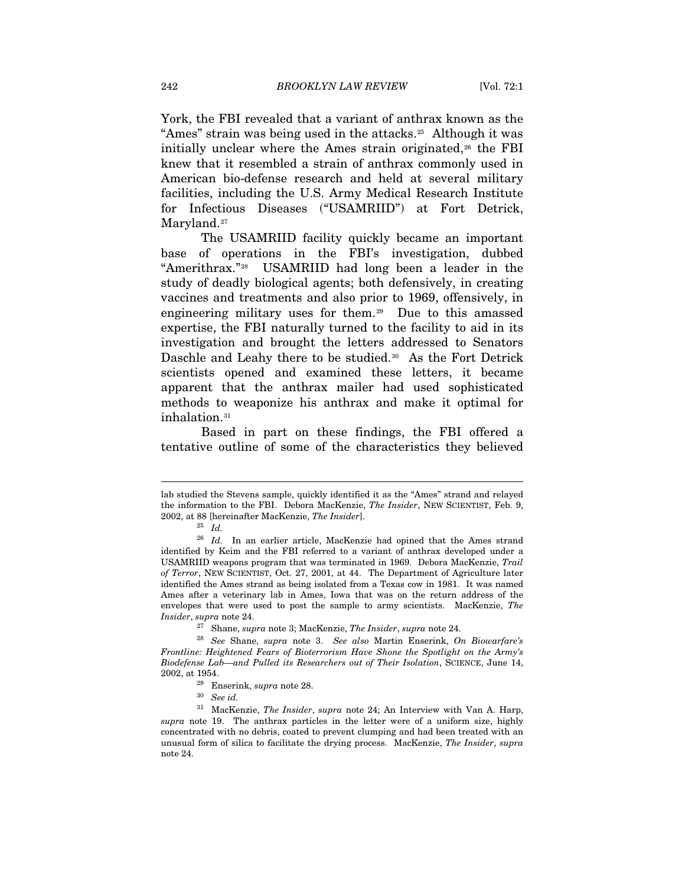York, the FBI revealed that a variant of anthrax known as the "Ames" strain was being used in the attacks.[25](#page-6-0) Although it was initially unclear where the Ames strain originated, $26$  the FBI knew that it resembled a strain of anthrax commonly used in American bio-defense research and held at several military facilities, including the U.S. Army Medical Research Institute for Infectious Diseases ("USAMRIID") at Fort Detrick, Maryland.<sup>[27](#page-6-2)</sup>

The USAMRIID facility quickly became an important base of operations in the FBI's investigation, dubbed "Amerithrax."[28](#page-6-3) USAMRIID had long been a leader in the study of deadly biological agents; both defensively, in creating vaccines and treatments and also prior to 1969, offensively, in engineering military uses for them.[29](#page-6-4) Due to this amassed expertise, the FBI naturally turned to the facility to aid in its investigation and brought the letters addressed to Senators Daschle and Leahy there to be studied.<sup>[30](#page-6-5)</sup> As the Fort Detrick scientists opened and examined these letters, it became apparent that the anthrax mailer had used sophisticated methods to weaponize his anthrax and make it optimal for inhalation.<sup>[31](#page-6-6)</sup>

Based in part on these findings, the FBI offered a tentative outline of some of the characteristics they believed

lab studied the Stevens sample, quickly identified it as the "Ames" strand and relayed the information to the FBI. Debora MacKenzie, *The Insider*, NEW SCIENTIST, Feb. 9, 2002, at 88 [hereinafter MacKenzie, *The Insider*]. 25 *Id.*

<span id="page-6-1"></span><span id="page-6-0"></span><sup>&</sup>lt;sup>26</sup> *Id.* In an earlier article, MacKenzie had opined that the Ames strand identified by Keim and the FBI referred to a variant of anthrax developed under a USAMRIID weapons program that was terminated in 1969. Debora MacKenzie, *Trail of Terror*, NEW SCIENTIST, Oct. 27, 2001, at 44. The Department of Agriculture later identified the Ames strand as being isolated from a Texas cow in 1981. It was named Ames after a veterinary lab in Ames, Iowa that was on the return address of the envelopes that were used to post the sample to army scientists. MacKenzie, *The Insider*, *supra* note 24. 27 Shane, *supra* note 3; MacKenzie, *The Insider*, *supra* note 24. 28 *See* Shane, *supra* note 3. *See also* Martin Enserink, *On Biowarfare's* 

<span id="page-6-3"></span><span id="page-6-2"></span>*Frontline: Heightened Fears of Bioterrorism Have Shone the Spotlight on the Army's Biodefense Lab—and Pulled its Researchers out of Their Isolation*, SCIENCE, June 14,

<span id="page-6-6"></span><span id="page-6-5"></span><span id="page-6-4"></span><sup>2002,</sup> at 1954. 29 Enserink, *supra* note 28. 30 *See id.* 31 MacKenzie, *The Insider*, *supra* note 24; An Interview with Van A. Harp, *supra* note 19. The anthrax particles in the letter were of a uniform size, highly concentrated with no debris, coated to prevent clumping and had been treated with an unusual form of silica to facilitate the drying process. MacKenzie, *The Insider*, *supra* note 24.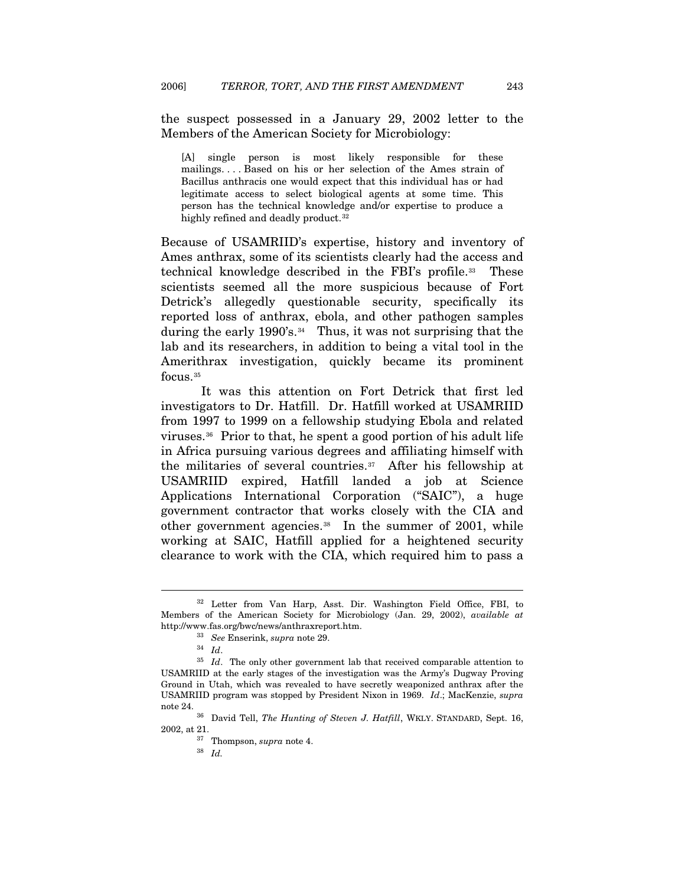the suspect possessed in a January 29, 2002 letter to the Members of the American Society for Microbiology:

[A] single person is most likely responsible for these mailings. . . . Based on his or her selection of the Ames strain of Bacillus anthracis one would expect that this individual has or had legitimate access to select biological agents at some time. This person has the technical knowledge and/or expertise to produce a highly refined and deadly product.<sup>[32](#page-7-0)</sup>

Because of USAMRIID's expertise, history and inventory of Ames anthrax, some of its scientists clearly had the access and technical knowledge described in the FBI's profile.[33](#page-7-1) These scientists seemed all the more suspicious because of Fort Detrick's allegedly questionable security, specifically its reported loss of anthrax, ebola, and other pathogen samples during the early 1990's.<sup>[34](#page-7-2)</sup> Thus, it was not surprising that the lab and its researchers, in addition to being a vital tool in the Amerithrax investigation, quickly became its prominent focus.[35](#page-7-3)

It was this attention on Fort Detrick that first led investigators to Dr. Hatfill. Dr. Hatfill worked at USAMRIID from 1997 to 1999 on a fellowship studying Ebola and related viruses.[36](#page-7-4) Prior to that, he spent a good portion of his adult life in Africa pursuing various degrees and affiliating himself with the militaries of several countries.[37](#page-7-5) After his fellowship at USAMRIID expired, Hatfill landed a job at Science Applications International Corporation ("SAIC"), a huge government contractor that works closely with the CIA and other government agencies. $38$  In the summer of 2001, while working at SAIC, Hatfill applied for a heightened security clearance to work with the CIA, which required him to pass a

<span id="page-7-0"></span><sup>32</sup> Letter from Van Harp, Asst. Dir. Washington Field Office, FBI, to Members of the American Society for Microbiology (Jan. 29, 2002), *available at*

<span id="page-7-3"></span><span id="page-7-2"></span><span id="page-7-1"></span>http://www.fas.org/bwc/news/anthraxreport.htm. 33 *See* Enserink, *supra* note 29. 34 *Id*. 35 *Id*. The only other government lab that received comparable attention to USAMRIID at the early stages of the investigation was the Army's Dugway Proving Ground in Utah, which was revealed to have secretly weaponized anthrax after the USAMRIID program was stopped by President Nixon in 1969. *Id*.; MacKenzie, *supra*

<span id="page-7-6"></span><span id="page-7-5"></span><span id="page-7-4"></span>note 24. 36 David Tell, *The Hunting of Steven J. Hatfill*, WKLY. STANDARD, Sept. 16, 2002, at 21.  $\frac{37}{10}$  Thompson, *supra* note 4.  $\frac{38}{10}$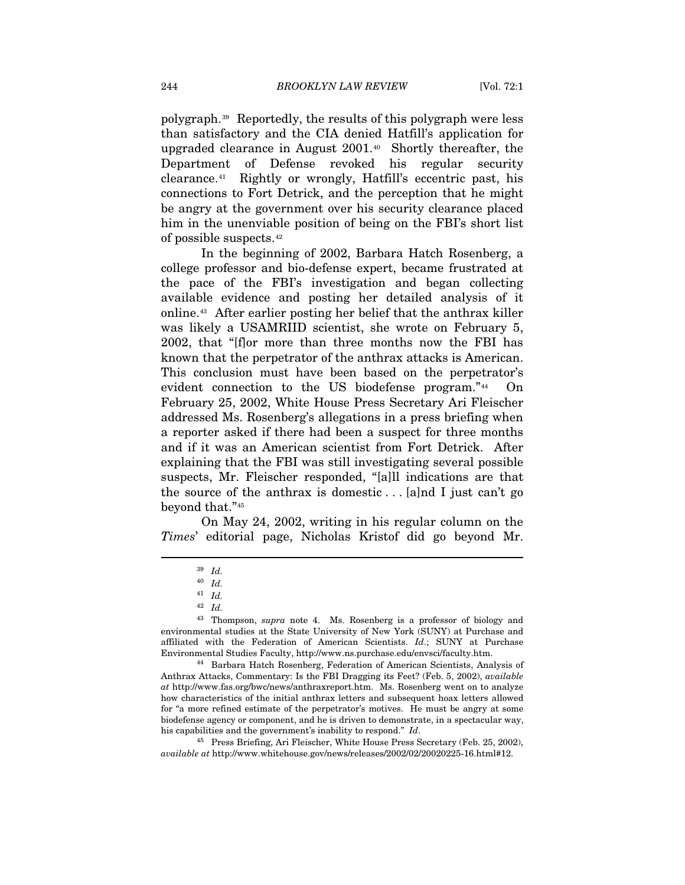polygraph.[39](#page-8-0) Reportedly, the results of this polygraph were less than satisfactory and the CIA denied Hatfill's application for upgraded clearance in August 2001.[40](#page-8-1) Shortly thereafter, the Department of Defense revoked his regular security clearance.[41](#page-8-2) Rightly or wrongly, Hatfill's eccentric past, his connections to Fort Detrick, and the perception that he might be angry at the government over his security clearance placed him in the unenviable position of being on the FBI's short list of possible suspects.[42](#page-8-3)

In the beginning of 2002, Barbara Hatch Rosenberg, a college professor and bio-defense expert, became frustrated at the pace of the FBI's investigation and began collecting available evidence and posting her detailed analysis of it online.[43](#page-8-4) After earlier posting her belief that the anthrax killer was likely a USAMRIID scientist, she wrote on February 5, 2002, that "[f]or more than three months now the FBI has known that the perpetrator of the anthrax attacks is American. This conclusion must have been based on the perpetrator's evident connection to the US biodefense program."[44](#page-8-5) On February 25, 2002, White House Press Secretary Ari Fleischer addressed Ms. Rosenberg's allegations in a press briefing when a reporter asked if there had been a suspect for three months and if it was an American scientist from Fort Detrick. After explaining that the FBI was still investigating several possible suspects, Mr. Fleischer responded, "[a]ll indications are that the source of the anthrax is domestic... [a]nd I just can't go beyond that."[45](#page-8-6)

On May 24, 2002, writing in his regular column on the *Times*' editorial page, Nicholas Kristof did go beyond Mr.

<span id="page-8-0"></span> $\overline{a}$ 

<span id="page-8-5"></span>Anthrax Attacks, Commentary: Is the FBI Dragging its Feet? (Feb. 5, 2002), *available at* http://www.fas.org/bwc/news/anthraxreport.htm. Ms. Rosenberg went on to analyze how characteristics of the initial anthrax letters and subsequent hoax letters allowed for "a more refined estimate of the perpetrator's motives. He must be angry at some biodefense agency or component, and he is driven to demonstrate, in a spectacular way, his capabilities and the government's inability to respond." *Id*. <sup>45</sup> Press Briefing, Ari Fleischer, White House Press Secretary (Feb. 25, 2002),

<span id="page-8-6"></span>*available at* http://www.whitehouse.gov/news/releases/2002/02/20020225-16.html#12.

<sup>39</sup> *Id.* 40 *Id.* 41 *Id.* 42 *Id.*

<span id="page-8-4"></span><span id="page-8-3"></span><span id="page-8-2"></span><span id="page-8-1"></span><sup>43</sup> Thompson, *supra* note 4. Ms. Rosenberg is a professor of biology and environmental studies at the State University of New York (SUNY) at Purchase and affiliated with the Federation of American Scientists. *Id*.; SUNY at Purchase Environmental Studies Faculty, http://www.ns.purchase.edu/envsci/faculty.htm. 44 Barbara Hatch Rosenberg, Federation of American Scientists, Analysis of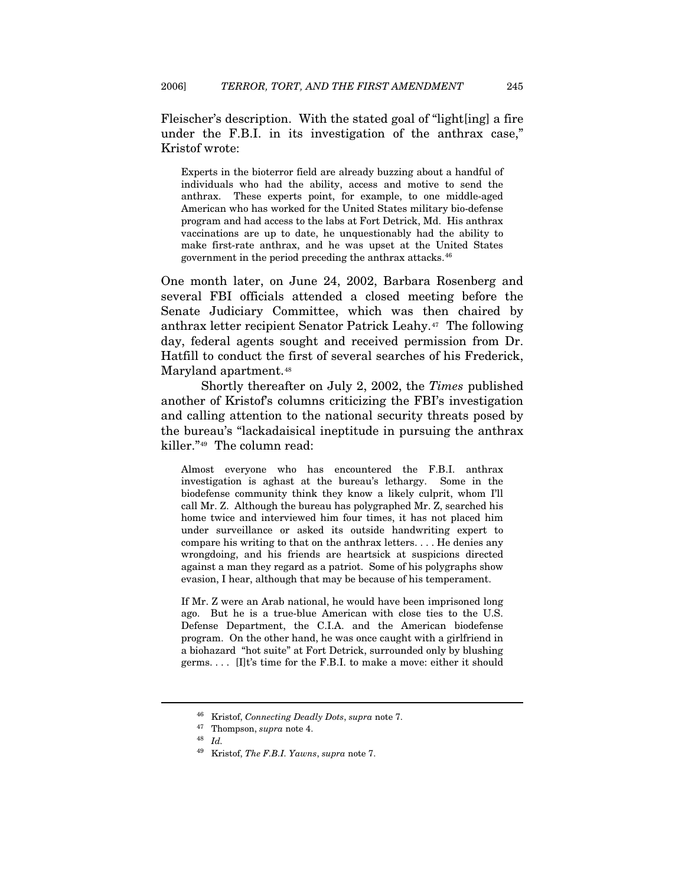Fleischer's description. With the stated goal of "light[ing] a fire under the F.B.I. in its investigation of the anthrax case," Kristof wrote:

Experts in the bioterror field are already buzzing about a handful of individuals who had the ability, access and motive to send the anthrax. These experts point, for example, to one middle-aged American who has worked for the United States military bio-defense program and had access to the labs at Fort Detrick, Md. His anthrax vaccinations are up to date, he unquestionably had the ability to make first-rate anthrax, and he was upset at the United States government in the period preceding the anthrax attacks.[46](#page-9-0)

One month later, on June 24, 2002, Barbara Rosenberg and several FBI officials attended a closed meeting before the Senate Judiciary Committee, which was then chaired by anthrax letter recipient Senator Patrick Leahy.[47](#page-9-1) The following day, federal agents sought and received permission from Dr. Hatfill to conduct the first of several searches of his Frederick, Maryland apartment.<sup>[48](#page-9-2)</sup>

Shortly thereafter on July 2, 2002, the *Times* published another of Kristof's columns criticizing the FBI's investigation and calling attention to the national security threats posed by the bureau's "lackadaisical ineptitude in pursuing the anthrax killer."[49](#page-9-3) The column read:

Almost everyone who has encountered the F.B.I. anthrax investigation is aghast at the bureau's lethargy. Some in the biodefense community think they know a likely culprit, whom I'll call Mr. Z. Although the bureau has polygraphed Mr. Z, searched his home twice and interviewed him four times, it has not placed him under surveillance or asked its outside handwriting expert to compare his writing to that on the anthrax letters. . . . He denies any wrongdoing, and his friends are heartsick at suspicions directed against a man they regard as a patriot. Some of his polygraphs show evasion, I hear, although that may be because of his temperament.

If Mr. Z were an Arab national, he would have been imprisoned long ago. But he is a true-blue American with close ties to the U.S. Defense Department, the C.I.A. and the American biodefense program. On the other hand, he was once caught with a girlfriend in a biohazard "hot suite" at Fort Detrick, surrounded only by blushing germs. . . . [I]t's time for the F.B.I. to make a move: either it should

<span id="page-9-0"></span><sup>46</sup> Kristof, *Connecting Deadly Dots*, *supra* note 7.

<span id="page-9-3"></span>

<span id="page-9-2"></span><span id="page-9-1"></span><sup>47</sup> Thompson, *supra* note 4. 48 *Id.* 49 Kristof, *The F.B.I. Yawns*, *supra* note 7.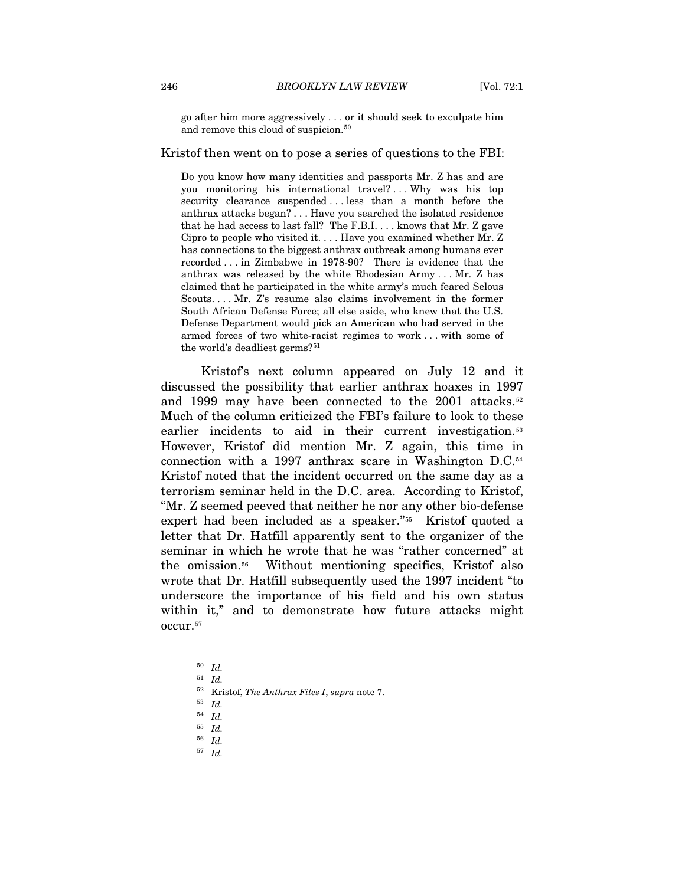go after him more aggressively . . . or it should seek to exculpate him and remove this cloud of suspicion.<sup>[50](#page-10-0)</sup>

#### Kristof then went on to pose a series of questions to the FBI:

Do you know how many identities and passports Mr. Z has and are you monitoring his international travel? . . . Why was his top security clearance suspended ... less than a month before the anthrax attacks began? . . . Have you searched the isolated residence that he had access to last fall? The F.B.I. . . . knows that Mr. Z gave Cipro to people who visited it. . . . Have you examined whether Mr. Z has connections to the biggest anthrax outbreak among humans ever recorded . . . in Zimbabwe in 1978-90? There is evidence that the anthrax was released by the white Rhodesian Army . . . Mr. Z has claimed that he participated in the white army's much feared Selous Scouts. . . . Mr. Z's resume also claims involvement in the former South African Defense Force; all else aside, who knew that the U.S. Defense Department would pick an American who had served in the armed forces of two white-racist regimes to work . . . with some of the world's deadliest germs?<sup>[51](#page-10-1)</sup>

Kristof's next column appeared on July 12 and it discussed the possibility that earlier anthrax hoaxes in 1997 and 1999 may have been connected to the 2001 attacks.<sup>[52](#page-10-2)</sup> Much of the column criticized the FBI's failure to look to these earlier incidents to aid in their current investigation.<sup>[53](#page-10-3)</sup> However, Kristof did mention Mr. Z again, this time in connection with a 1997 anthrax scare in Washington D.C.[54](#page-10-4) Kristof noted that the incident occurred on the same day as a terrorism seminar held in the D.C. area. According to Kristof, "Mr. Z seemed peeved that neither he nor any other bio-defense expert had been included as a speaker."[55](#page-10-5) Kristof quoted a letter that Dr. Hatfill apparently sent to the organizer of the seminar in which he wrote that he was "rather concerned" at the omission.[56](#page-10-6) Without mentioning specifics, Kristof also wrote that Dr. Hatfill subsequently used the 1997 incident "to underscore the importance of his field and his own status within it," and to demonstrate how future attacks might occur.[57](#page-10-7)

<sup>50</sup> *Id.*

<span id="page-10-1"></span><span id="page-10-0"></span><sup>51</sup> *Id.*

<sup>52</sup> Kristof, *The Anthrax Files I*, *supra* note 7. 53 *Id.*

<span id="page-10-6"></span><span id="page-10-5"></span><span id="page-10-4"></span><span id="page-10-3"></span><span id="page-10-2"></span>

 $\begin{array}{cc} 54 & Id. \\ 55 & Id. \end{array}$ 

<span id="page-10-7"></span><sup>55</sup> *Id.* 56 *Id.*

<sup>57</sup> *Id.*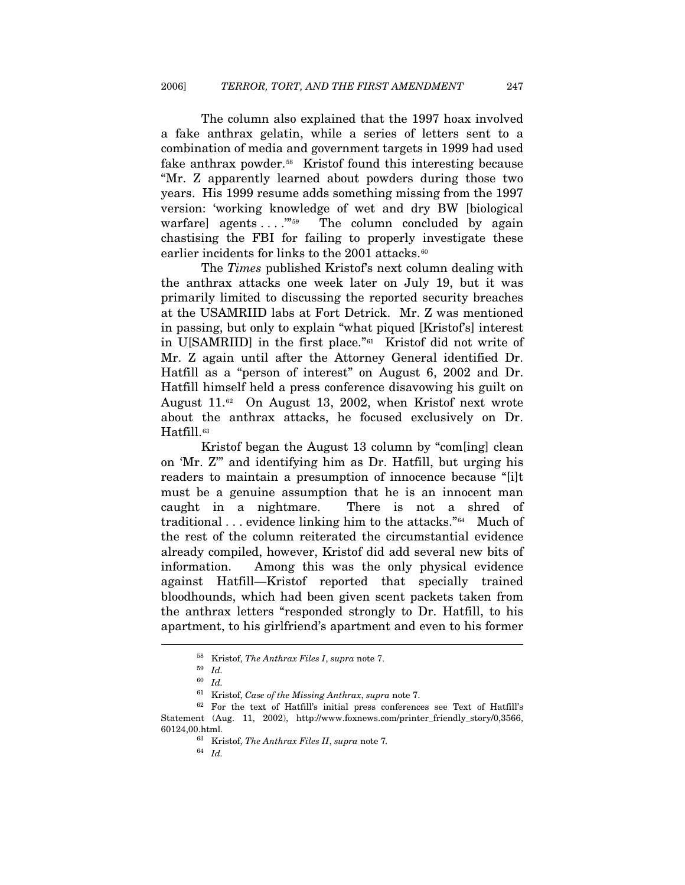The column also explained that the 1997 hoax involved a fake anthrax gelatin, while a series of letters sent to a combination of media and government targets in 1999 had used fake anthrax powder.[58](#page-11-0) Kristof found this interesting because "Mr. Z apparently learned about powders during those two years. His 1999 resume adds something missing from the 1997 version: 'working knowledge of wet and dry BW [biological warfare] agents  $\dots$ ."<sup>[59](#page-11-1)</sup> The column concluded by again chastising the FBI for failing to properly investigate these earlier incidents for links to the 2001 attacks. $60$ 

The *Times* published Kristof's next column dealing with the anthrax attacks one week later on July 19, but it was primarily limited to discussing the reported security breaches at the USAMRIID labs at Fort Detrick. Mr. Z was mentioned in passing, but only to explain "what piqued [Kristof's] interest in U[SAMRIID] in the first place."[61](#page-11-3) Kristof did not write of Mr. Z again until after the Attorney General identified Dr. Hatfill as a "person of interest" on August 6, 2002 and Dr. Hatfill himself held a press conference disavowing his guilt on August 11.[62](#page-11-4) On August 13, 2002, when Kristof next wrote about the anthrax attacks, he focused exclusively on Dr. Hatfill.<sup>[63](#page-11-5)</sup>

Kristof began the August 13 column by "com[ing] clean on 'Mr. Z'" and identifying him as Dr. Hatfill, but urging his readers to maintain a presumption of innocence because "[i]t must be a genuine assumption that he is an innocent man caught in a nightmare. There is not a shred of traditional . . . evidence linking him to the attacks."[64](#page-11-6) Much of the rest of the column reiterated the circumstantial evidence already compiled, however, Kristof did add several new bits of information. Among this was the only physical evidence against Hatfill—Kristof reported that specially trained bloodhounds, which had been given scent packets taken from the anthrax letters "responded strongly to Dr. Hatfill, to his apartment, to his girlfriend's apartment and even to his former

<sup>58</sup> Kristof, *The Anthrax Files I*, *supra* note 7. 59 *Id.*<sup>60</sup> *Id.* 61 Kristof, *Case of the Missing Anthrax*, *supra* note 7.

<span id="page-11-6"></span><span id="page-11-5"></span><span id="page-11-4"></span><span id="page-11-3"></span><span id="page-11-2"></span><span id="page-11-1"></span><span id="page-11-0"></span><sup>62</sup> For the text of Hatfill's initial press conferences see Text of Hatfill's Statement (Aug. 11, 2002), http://www.foxnews.com/printer\_friendly\_story/0,3566, 60124,00.html. 63 Kristof, *The Anthrax Files II*, *supra* note 7*.*

<sup>64</sup> *Id.*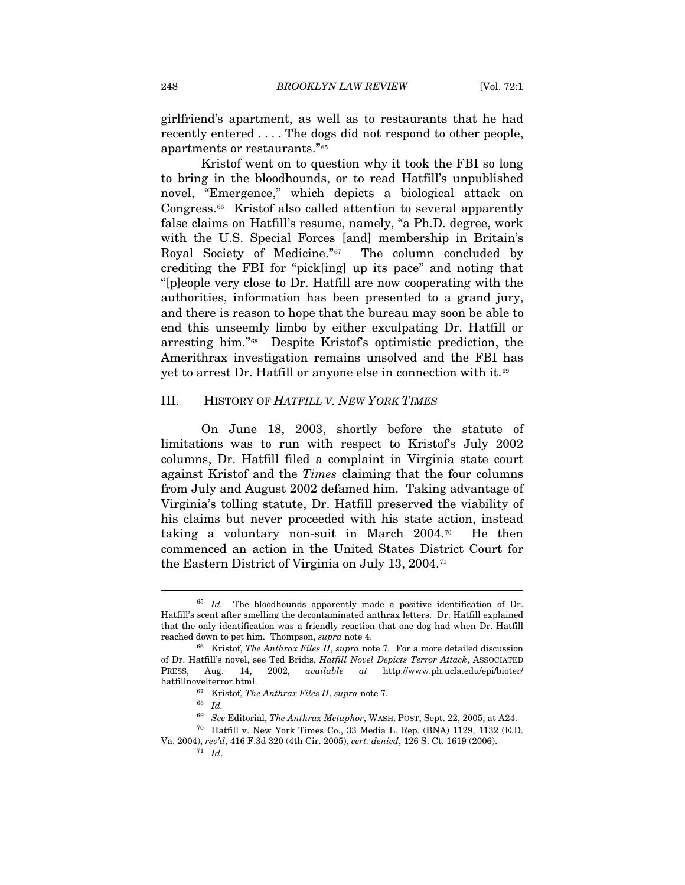girlfriend's apartment, as well as to restaurants that he had recently entered . . . . The dogs did not respond to other people, apartments or restaurants."[65](#page-12-0)

Kristof went on to question why it took the FBI so long to bring in the bloodhounds, or to read Hatfill's unpublished novel, "Emergence," which depicts a biological attack on Congress.[66](#page-12-1) Kristof also called attention to several apparently false claims on Hatfill's resume, namely, "a Ph.D. degree, work with the U.S. Special Forces [and] membership in Britain's Royal Society of Medicine."[67](#page-12-2) The column concluded by crediting the FBI for "pick[ing] up its pace" and noting that "[p]eople very close to Dr. Hatfill are now cooperating with the authorities, information has been presented to a grand jury, and there is reason to hope that the bureau may soon be able to end this unseemly limbo by either exculpating Dr. Hatfill or arresting him."[68](#page-12-3) Despite Kristof's optimistic prediction, the Amerithrax investigation remains unsolved and the FBI has yet to arrest Dr. Hatfill or anyone else in connection with it.[69](#page-12-4)

# III. HISTORY OF *HATFILL V. NEW YORK TIMES*

On June 18, 2003, shortly before the statute of limitations was to run with respect to Kristof's July 2002 columns, Dr. Hatfill filed a complaint in Virginia state court against Kristof and the *Times* claiming that the four columns from July and August 2002 defamed him. Taking advantage of Virginia's tolling statute, Dr. Hatfill preserved the viability of his claims but never proceeded with his state action, instead taking a voluntary non-suit in March  $2004$ <sup>[70](#page-12-5)</sup> He then commenced an action in the United States District Court for the Eastern District of Virginia on July 13, 2004.[71](#page-12-6)

<span id="page-12-0"></span><sup>&</sup>lt;sup>65</sup> *Id.* The bloodhounds apparently made a positive identification of Dr. Hatfill's scent after smelling the decontaminated anthrax letters. Dr. Hatfill explained that the only identification was a friendly reaction that one dog had when Dr. Hatfill reached down to pet him. Thompson, *supra* note 4. 66 Kristof, *The Anthrax Files II*, *supra* note 7*.* For a more detailed discussion

<span id="page-12-2"></span><span id="page-12-1"></span>of Dr. Hatfill's novel, see Ted Bridis, *Hatfill Novel Depicts Terror Attack*, ASSOCIATED PRESS, Aug. 14, 2002, *available at* http://www.ph.ucla.edu/epi/bioter/ hatfillnovelterror.html. 67 Kristof, *The Anthrax Files II*, *supra* note 7*.*

<sup>68</sup> *Id.*

<sup>69</sup> *See* Editorial, *The Anthrax Metaphor*, WASH. POST, Sept. 22, 2005, at A24. 70 Hatfill v. New York Times Co., 33 Media L. Rep. (BNA) 1129, 1132 (E.D.

<span id="page-12-6"></span><span id="page-12-5"></span><span id="page-12-4"></span><span id="page-12-3"></span>Va. 2004), *rev'd*, 416 F.3d 320 (4th Cir. 2005), *cert. denied*, 126 S. Ct. 1619 (2006). 71 *Id*.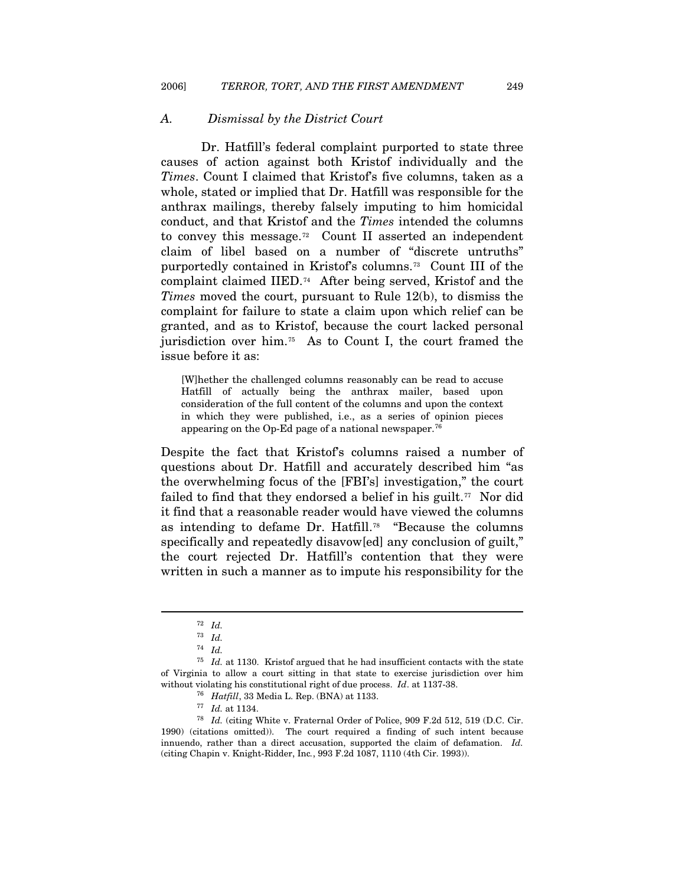#### *A. Dismissal by the District Court*

Dr. Hatfill's federal complaint purported to state three causes of action against both Kristof individually and the *Times*. Count I claimed that Kristof's five columns, taken as a whole, stated or implied that Dr. Hatfill was responsible for the anthrax mailings, thereby falsely imputing to him homicidal conduct, and that Kristof and the *Times* intended the columns to convey this message.[72](#page-13-0) Count II asserted an independent claim of libel based on a number of "discrete untruths" purportedly contained in Kristof's columns.[73](#page-13-1) Count III of the complaint claimed IIED.[74](#page-13-2) After being served, Kristof and the *Times* moved the court, pursuant to Rule 12(b), to dismiss the complaint for failure to state a claim upon which relief can be granted, and as to Kristof, because the court lacked personal jurisdiction over him.[75](#page-13-3) As to Count I, the court framed the issue before it as:

[W]hether the challenged columns reasonably can be read to accuse Hatfill of actually being the anthrax mailer, based upon consideration of the full content of the columns and upon the context in which they were published, i.e., as a series of opinion pieces appearing on the Op-Ed page of a national newspaper.[76](#page-13-4)

Despite the fact that Kristof's columns raised a number of questions about Dr. Hatfill and accurately described him "as the overwhelming focus of the [FBI's] investigation," the court failed to find that they endorsed a belief in his guilt.<sup>[77](#page-13-5)</sup> Nor did it find that a reasonable reader would have viewed the columns as intending to defame Dr. Hatfill.<sup>[78](#page-13-6)</sup> "Because the columns specifically and repeatedly disavow[ed] any conclusion of guilt," the court rejected Dr. Hatfill's contention that they were written in such a manner as to impute his responsibility for the

 $\frac{72}{73}$  *Id.* 

<sup>73</sup> *Id.* 74 *Id.*

<span id="page-13-3"></span><span id="page-13-2"></span><span id="page-13-1"></span><span id="page-13-0"></span><sup>75</sup> *Id.* at 1130. Kristof argued that he had insufficient contacts with the state of Virginia to allow a court sitting in that state to exercise jurisdiction over him without violating his constitutional right of due process.  $Id$ . at 1137-38.<br><sup>76</sup>  $Hatfill$ , 33 Media L. Rep. (BNA) at 1133.<br><sup>77</sup>  $Id$ . at 1134.<br><sup>78</sup>  $Id$ . (citing White v. Fraternal Order of Police, 909 F.2d 512, 519 (D.C. Cir.

<span id="page-13-6"></span><span id="page-13-5"></span><span id="page-13-4"></span><sup>1990) (</sup>citations omitted)). The court required a finding of such intent because innuendo, rather than a direct accusation, supported the claim of defamation. *Id.* (citing Chapin v. Knight-Ridder, Inc*.*, 993 F.2d 1087, 1110 (4th Cir. 1993)).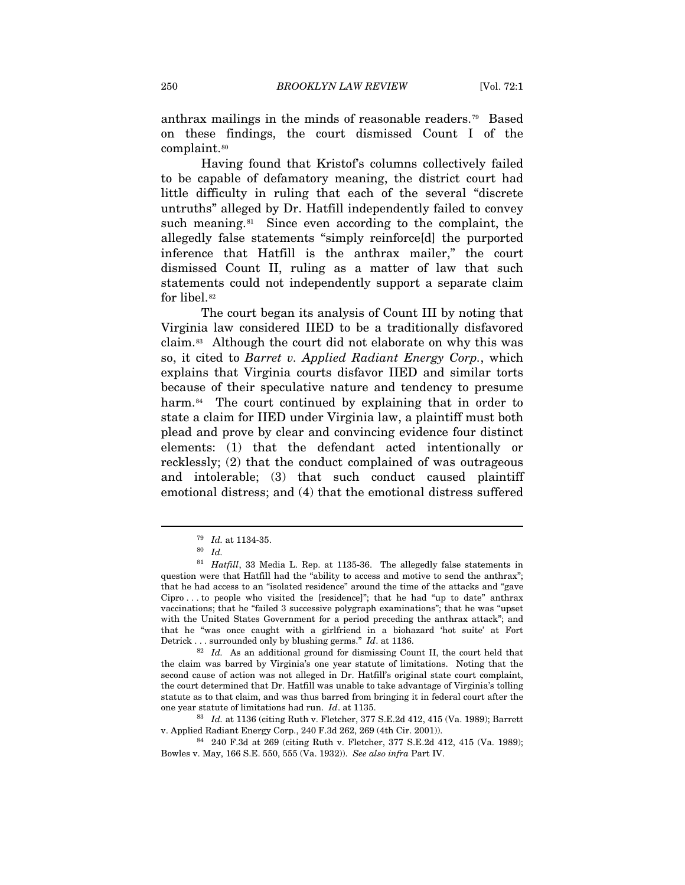anthrax mailings in the minds of reasonable readers.[79](#page-14-0) Based on these findings, the court dismissed Count I of the complaint.[80](#page-14-1)

Having found that Kristof's columns collectively failed to be capable of defamatory meaning, the district court had little difficulty in ruling that each of the several "discrete untruths" alleged by Dr. Hatfill independently failed to convey such meaning.<sup>[81](#page-14-2)</sup> Since even according to the complaint, the allegedly false statements "simply reinforce[d] the purported inference that Hatfill is the anthrax mailer," the court dismissed Count II, ruling as a matter of law that such statements could not independently support a separate claim for libel.<sup>[82](#page-14-3)</sup>

The court began its analysis of Count III by noting that Virginia law considered IIED to be a traditionally disfavored claim.[83](#page-14-4) Although the court did not elaborate on why this was so, it cited to *Barret v. Applied Radiant Energy Corp.*, which explains that Virginia courts disfavor IIED and similar torts because of their speculative nature and tendency to presume harm.<sup>[84](#page-14-5)</sup> The court continued by explaining that in order to state a claim for IIED under Virginia law, a plaintiff must both plead and prove by clear and convincing evidence four distinct elements: (1) that the defendant acted intentionally or recklessly; (2) that the conduct complained of was outrageous and intolerable; (3) that such conduct caused plaintiff emotional distress; and (4) that the emotional distress suffered

 $\overline{a}$ 

<span id="page-14-3"></span><sup>82</sup> Id. As an additional ground for dismissing Count II, the court held that the claim was barred by Virginia's one year statute of limitations. Noting that the second cause of action was not alleged in Dr. Hatfill's original state court complaint, the court determined that Dr. Hatfill was unable to take advantage of Virginia's tolling statute as to that claim, and was thus barred from bringing it in federal court after the

<span id="page-14-4"></span>one year statute of limitations had run. *Id.* at 1135.<br><sup>83</sup> *Id.* at 1136 (citing Ruth v. Fletcher, 377 S.E.2d 412, 415 (Va. 1989); Barrett v. Applied Radiant Energy Corp., 240 F.3d 262, 269 (4th Cir. 2001)).

<span id="page-14-5"></span><sup>84</sup> 240 F.3d at 269 (citing Ruth v. Fletcher, 377 S.E.2d 412, 415 (Va. 1989); Bowles v. May, 166 S.E. 550, 555 (Va. 1932)). *See also infra* Part IV.

<sup>79</sup> *Id.* at 1134-35. 80 *Id.* 

<span id="page-14-2"></span><span id="page-14-1"></span><span id="page-14-0"></span><sup>81</sup> *Hatfill*, 33 Media L. Rep. at 1135-36. The allegedly false statements in question were that Hatfill had the "ability to access and motive to send the anthrax"; that he had access to an "isolated residence" around the time of the attacks and "gave Cipro . . . to people who visited the [residence]"; that he had "up to date" anthrax vaccinations; that he "failed 3 successive polygraph examinations"; that he was "upset with the United States Government for a period preceding the anthrax attack"; and that he "was once caught with a girlfriend in a biohazard 'hot suite' at Fort Detrick... surrounded only by blushing germs."  $Id$ . at 1136.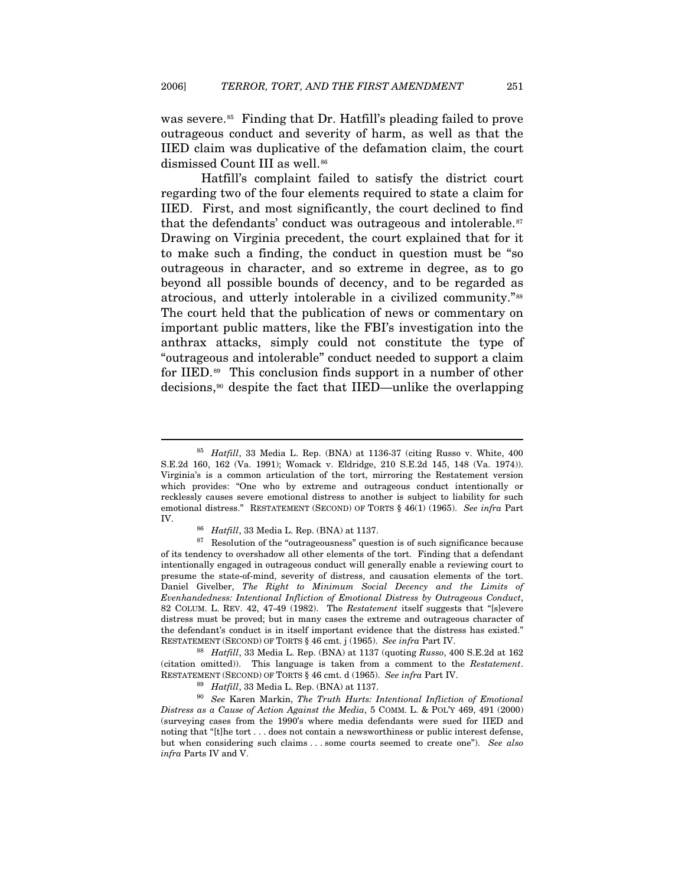was severe.<sup>[85](#page-15-0)</sup> Finding that Dr. Hatfill's pleading failed to prove outrageous conduct and severity of harm, as well as that the IIED claim was duplicative of the defamation claim, the court dismissed Count III as well.<sup>[86](#page-15-1)</sup>

Hatfill's complaint failed to satisfy the district court regarding two of the four elements required to state a claim for IIED. First, and most significantly, the court declined to find that the defendants' conduct was outrageous and intolerable.<sup>[87](#page-15-2)</sup> Drawing on Virginia precedent, the court explained that for it to make such a finding, the conduct in question must be "so outrageous in character, and so extreme in degree, as to go beyond all possible bounds of decency, and to be regarded as atrocious, and utterly intolerable in a civilized community."[88](#page-15-3) The court held that the publication of news or commentary on important public matters, like the FBI's investigation into the anthrax attacks, simply could not constitute the type of "outrageous and intolerable" conduct needed to support a claim for IIED.[89](#page-15-4) This conclusion finds support in a number of other decisions,[90](#page-15-5) despite the fact that IIED—unlike the overlapping

 $\overline{a}$ 

<span id="page-15-3"></span>RESTATEMENT (SECOND) OF TORTS § 46 cmt. j (1965). *See infra* Part IV. 88 *Hatfill*, 33 Media L. Rep. (BNA) at 1137 (quoting *Russo*, 400 S.E.2d at 162 (citation omitted)). This language is taken from a comment to the *Restatement*.

<span id="page-15-5"></span><span id="page-15-4"></span>RESTATEMENT (SECOND) OF TORTS § 46 cmt. d (1965). *See infra* Part IV. 89 *Hatfill*, 33 Media L. Rep. (BNA) at 1137. 90 *See* Karen Markin, *The Truth Hurts: Intentional Infliction of Emotional Distress as a Cause of Action Against the Media*, 5 COMM. L. & POL'Y 469, 491 (2000) (surveying cases from the 1990's where media defendants were sued for IIED and noting that "[t]he tort . . . does not contain a newsworthiness or public interest defense, but when considering such claims . . . some courts seemed to create one"). *See also infra* Parts IV and V.

<span id="page-15-0"></span><sup>85</sup> *Hatfill*, 33 Media L. Rep. (BNA) at 1136-37 (citing Russo v. White, 400 S.E.2d 160, 162 (Va. 1991); Womack v. Eldridge, 210 S.E.2d 145, 148 (Va. 1974)). Virginia's is a common articulation of the tort, mirroring the Restatement version which provides: "One who by extreme and outrageous conduct intentionally or recklessly causes severe emotional distress to another is subject to liability for such emotional distress." RESTATEMENT (SECOND) OF TORTS § 46(1) (1965). *See infra* Part

<span id="page-15-2"></span><span id="page-15-1"></span>IV. 86 *Hatfill*, 33 Media L. Rep. (BNA) at 1137.<br><sup>87</sup> Resolution of the "outrageousness" question is of such significance because of its tendency to overshadow all other elements of the tort. Finding that a defendant intentionally engaged in outrageous conduct will generally enable a reviewing court to presume the state-of-mind, severity of distress, and causation elements of the tort. Daniel Givelber, *The Right to Minimum Social Decency and the Limits of Evenhandedness: Intentional Infliction of Emotional Distress by Outrageous Conduct*, 82 COLUM. L. REV. 42, 47-49 (1982). The *Restatement* itself suggests that "[s]evere distress must be proved; but in many cases the extreme and outrageous character of the defendant's conduct is in itself important evidence that the distress has existed."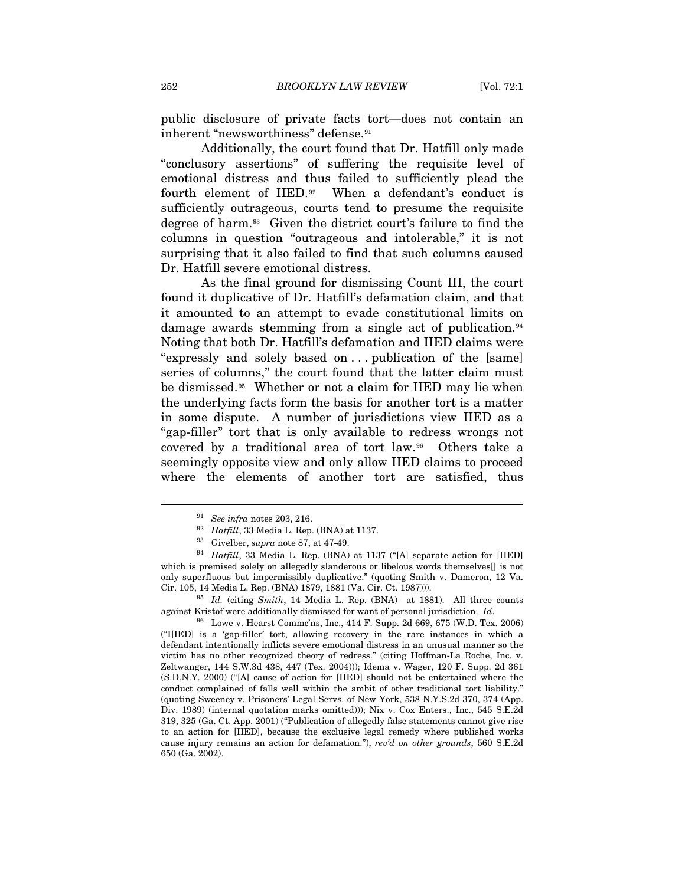public disclosure of private facts tort—does not contain an inherent "newsworthiness" defense.<sup>[91](#page-16-0)</sup>

Additionally, the court found that Dr. Hatfill only made "conclusory assertions" of suffering the requisite level of emotional distress and thus failed to sufficiently plead the fourth element of IIED.[92](#page-16-1) When a defendant's conduct is sufficiently outrageous, courts tend to presume the requisite degree of harm.[93](#page-16-2) Given the district court's failure to find the columns in question "outrageous and intolerable," it is not surprising that it also failed to find that such columns caused Dr. Hatfill severe emotional distress.

As the final ground for dismissing Count III, the court found it duplicative of Dr. Hatfill's defamation claim, and that it amounted to an attempt to evade constitutional limits on damage awards stemming from a single act of publication.[94](#page-16-3) Noting that both Dr. Hatfill's defamation and IIED claims were "expressly and solely based on . . . publication of the [same] series of columns," the court found that the latter claim must be dismissed.[95](#page-16-4) Whether or not a claim for IIED may lie when the underlying facts form the basis for another tort is a matter in some dispute. A number of jurisdictions view IIED as a "gap-filler" tort that is only available to redress wrongs not covered by a traditional area of tort law.[96](#page-16-5) Others take a seemingly opposite view and only allow IIED claims to proceed where the elements of another tort are satisfied, thus

<span id="page-16-3"></span><span id="page-16-2"></span><span id="page-16-1"></span><span id="page-16-0"></span><sup>91</sup> *See infra* notes 203, 216. 92 *Hatfill*, 33 Media L. Rep. (BNA) at 1137. 93 Givelber, *supra* note 87, at 47-49. 94 *Hatfill*, 33 Media L. Rep. (BNA) at 1137 ("[A] separate action for [IIED] which is premised solely on allegedly slanderous or libelous words themselves[] is not only superfluous but impermissibly duplicative." (quoting Smith v. Dameron, 12 Va. Cir. 105, 14 Media L. Rep. (BNA) 1879, 1881 (Va. Cir. Ct. 1987))). 95 *Id.* (citing *Smith*, 14 Media L. Rep. (BNA) at 1881). All three counts

<span id="page-16-4"></span>against Kristof were additionally dismissed for want of personal jurisdiction. *Id*. 96 Lowe v. Hearst Commc'ns, Inc., 414 F. Supp. 2d 669, 675 (W.D. Tex. 2006)

<span id="page-16-5"></span><sup>(&</sup>quot;I[IED] is a 'gap-filler' tort, allowing recovery in the rare instances in which a defendant intentionally inflicts severe emotional distress in an unusual manner so the victim has no other recognized theory of redress." (citing Hoffman-La Roche, Inc. v. Zeltwanger, 144 S.W.3d 438, 447 (Tex. 2004))); Idema v. Wager, 120 F. Supp. 2d 361 (S.D.N.Y. 2000) ("[A] cause of action for [IIED] should not be entertained where the conduct complained of falls well within the ambit of other traditional tort liability." (quoting Sweeney v. Prisoners' Legal Servs. of New York, 538 N.Y.S.2d 370, 374 (App. Div. 1989) (internal quotation marks omitted))); Nix v. Cox Enters., Inc., 545 S.E.2d 319, 325 (Ga. Ct. App. 2001) ("Publication of allegedly false statements cannot give rise to an action for [IIED], because the exclusive legal remedy where published works cause injury remains an action for defamation."), *rev'd on other grounds*, 560 S.E.2d 650 (Ga. 2002).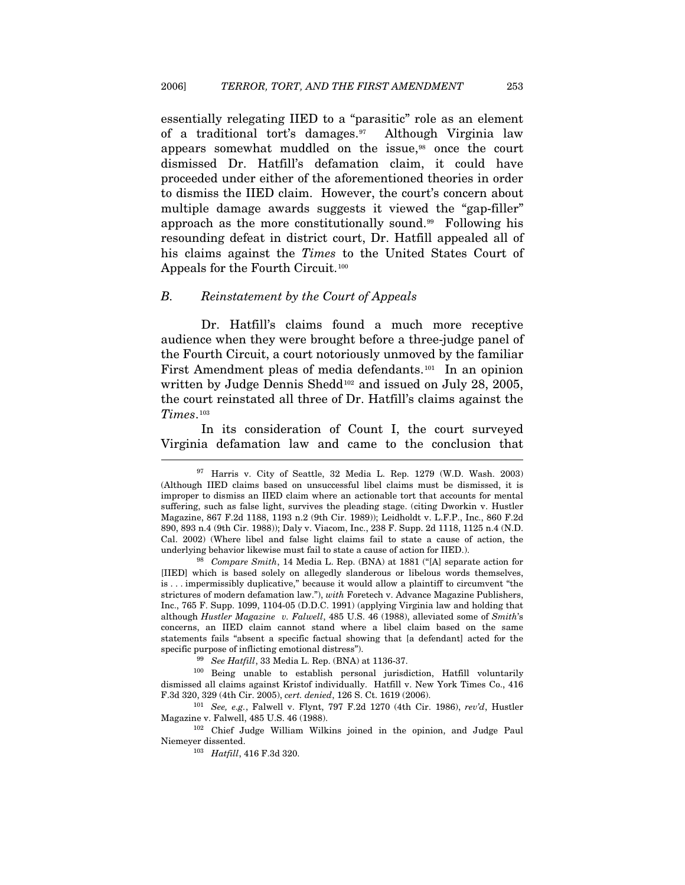essentially relegating IIED to a "parasitic" role as an element of a traditional tort's damages.[97](#page-17-0) Although Virginia law appears somewhat muddled on the issue,<sup>98</sup> once the court dismissed Dr. Hatfill's defamation claim, it could have proceeded under either of the aforementioned theories in order to dismiss the IIED claim. However, the court's concern about multiple damage awards suggests it viewed the "gap-filler" approach as the more constitutionally sound.[99](#page-17-2) Following his resounding defeat in district court, Dr. Hatfill appealed all of his claims against the *Times* to the United States Court of Appeals for the Fourth Circuit.[100](#page-17-3)

#### *B. Reinstatement by the Court of Appeals*

Dr. Hatfill's claims found a much more receptive audience when they were brought before a three-judge panel of the Fourth Circuit, a court notoriously unmoved by the familiar First Amendment pleas of media defendants.<sup>[101](#page-17-4)</sup> In an opinion written by Judge Dennis Shedd<sup>[102](#page-17-5)</sup> and issued on July 28, 2005, the court reinstated all three of Dr. Hatfill's claims against the *Times*.[103](#page-17-6)

In its consideration of Count I, the court surveyed Virginia defamation law and came to the conclusion that j

<span id="page-17-3"></span><span id="page-17-2"></span>dismissed all claims against Kristof individually. Hatfill v. New York Times Co., 416

<span id="page-17-4"></span>F.3d 320, 329 (4th Cir. 2005), *cert. denied*, 126 S. Ct. 1619 (2006). 101 *See, e.g.*, Falwell v. Flynt, 797 F.2d 1270 (4th Cir. 1986), *rev'd*, Hustler

<span id="page-17-6"></span><span id="page-17-5"></span><sup>102</sup> Chief Judge William Wilkins joined in the opinion, and Judge Paul Niemeyer dissented. 103 *Hatfill*, 416 F.3d 320.

<span id="page-17-0"></span><sup>97</sup> Harris v. City of Seattle, 32 Media L. Rep. 1279 (W.D. Wash. 2003) (Although IIED claims based on unsuccessful libel claims must be dismissed, it is improper to dismiss an IIED claim where an actionable tort that accounts for mental suffering, such as false light, survives the pleading stage. (citing Dworkin v. Hustler Magazine, 867 F.2d 1188, 1193 n.2 (9th Cir. 1989)); Leidholdt v. L.F.P., Inc., 860 F.2d 890, 893 n.4 (9th Cir. 1988)); Daly v. Viacom, Inc., 238 F. Supp. 2d 1118, 1125 n.4 (N.D. Cal. 2002) (Where libel and false light claims fail to state a cause of action, the

<span id="page-17-1"></span><sup>&</sup>lt;sup>98</sup> Compare Smith, 14 Media L. Rep. (BNA) at 1881 ("[A] separate action for [IIED] which is based solely on allegedly slanderous or libelous words themselves, is . . . impermissibly duplicative," because it would allow a plaintiff to circumvent "the strictures of modern defamation law."), *with* Foretech v. Advance Magazine Publishers, Inc., 765 F. Supp. 1099, 1104-05 (D.D.C. 1991) (applying Virginia law and holding that although *Hustler Magazine v. Falwell*, 485 U.S. 46 (1988), alleviated some of *Smith*'s concerns, an IIED claim cannot stand where a libel claim based on the same statements fails "absent a specific factual showing that [a defendant] acted for the specific purpose of inflicting emotional distress").<br><sup>99</sup> See Hatfill, 33 Media L. Rep. (BNA) at 1136-37.<br><sup>100</sup> Being unable to establish personal jurisdiction, Hatfill voluntarily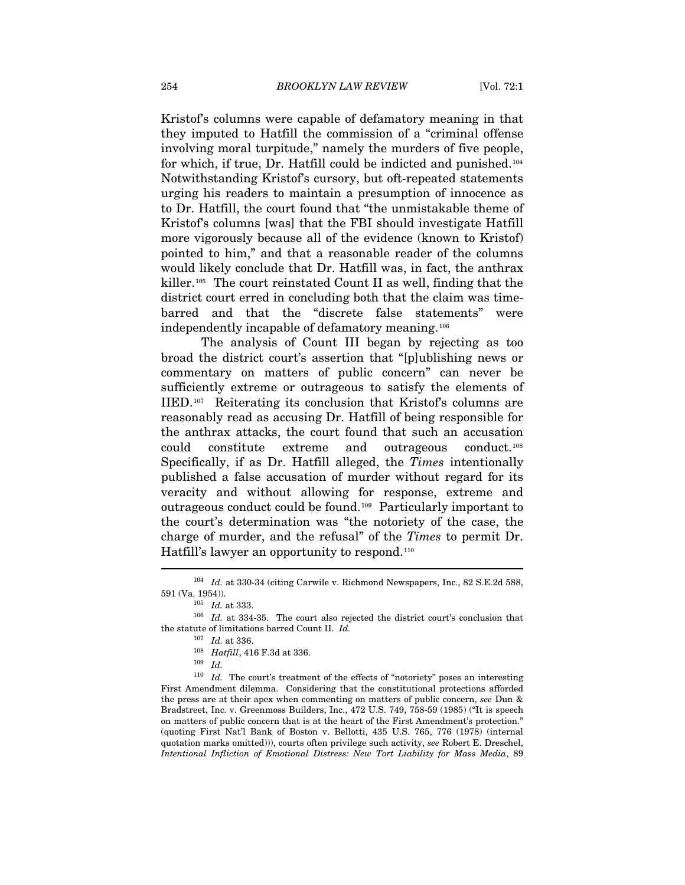Kristof's columns were capable of defamatory meaning in that they imputed to Hatfill the commission of a "criminal offense involving moral turpitude," namely the murders of five people, for which, if true, Dr. Hatfill could be indicted and punished.[104](#page-18-0) Notwithstanding Kristof's cursory, but oft-repeated statements urging his readers to maintain a presumption of innocence as to Dr. Hatfill, the court found that "the unmistakable theme of Kristof's columns [was] that the FBI should investigate Hatfill more vigorously because all of the evidence (known to Kristof) pointed to him," and that a reasonable reader of the columns would likely conclude that Dr. Hatfill was, in fact, the anthrax killer.[105](#page-18-1) The court reinstated Count II as well, finding that the district court erred in concluding both that the claim was timebarred and that the "discrete false statements" were independently incapable of defamatory meaning.[106](#page-18-2)

The analysis of Count III began by rejecting as too broad the district court's assertion that "[p]ublishing news or commentary on matters of public concern" can never be sufficiently extreme or outrageous to satisfy the elements of IIED.[107](#page-18-3) Reiterating its conclusion that Kristof's columns are reasonably read as accusing Dr. Hatfill of being responsible for the anthrax attacks, the court found that such an accusation could constitute extreme and outrageous conduct.[108](#page-18-4) Specifically, if as Dr. Hatfill alleged, the *Times* intentionally published a false accusation of murder without regard for its veracity and without allowing for response, extreme and outrageous conduct could be found.[109](#page-18-5) Particularly important to the court's determination was "the notoriety of the case, the charge of murder, and the refusal" of the *Times* to permit Dr. Hatfill's lawyer an opportunity to respond.[110](#page-18-6)

<sup>104</sup> *Id.* at 330-34 (citing Carwile v. Richmond Newspapers, Inc., 82 S.E.2d 588,

<span id="page-18-2"></span><span id="page-18-1"></span><span id="page-18-0"></span><sup>591 (</sup>Va. 1954)).  $10^5$  *Id.* at 333. 106 *Id.* at 334-35. The court also rejected the district court's conclusion that the statute of limitations barred Count II. *Id.*

<sup>107</sup> *Id.* at 336.

<sup>108</sup> *Hatfill*, 416 F.3d at 336. 109 *Id.*

<span id="page-18-6"></span><span id="page-18-5"></span><span id="page-18-4"></span><span id="page-18-3"></span><sup>&</sup>lt;sup>110</sup> *Id.* The court's treatment of the effects of "notoriety" poses an interesting First Amendment dilemma. Considering that the constitutional protections afforded the press are at their apex when commenting on matters of public concern, *see* Dun & Bradstreet, Inc. v. Greenmoss Builders, Inc., 472 U.S. 749, 758-59 (1985) ("It is speech on matters of public concern that is at the heart of the First Amendment's protection." (quoting First Nat'l Bank of Boston v. Bellotti, 435 U.S. 765, 776 (1978) (internal quotation marks omitted))), courts often privilege such activity, *see* Robert E. Dreschel, *Intentional Infliction of Emotional Distress: New Tort Liability for Mass Media*, 89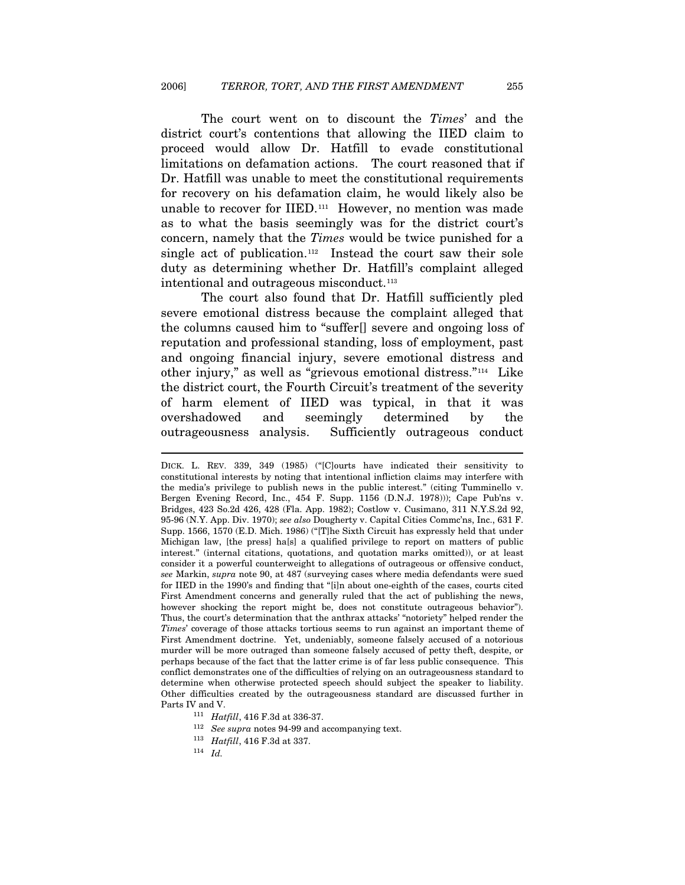The court went on to discount the *Times*' and the district court's contentions that allowing the IIED claim to proceed would allow Dr. Hatfill to evade constitutional limitations on defamation actions. The court reasoned that if Dr. Hatfill was unable to meet the constitutional requirements for recovery on his defamation claim, he would likely also be unable to recover for IIED.[111](#page-19-0) However, no mention was made as to what the basis seemingly was for the district court's concern, namely that the *Times* would be twice punished for a single act of publication.<sup>[112](#page-19-1)</sup> Instead the court saw their sole duty as determining whether Dr. Hatfill's complaint alleged intentional and outrageous misconduct.<sup>[113](#page-19-2)</sup>

The court also found that Dr. Hatfill sufficiently pled severe emotional distress because the complaint alleged that the columns caused him to "suffer[] severe and ongoing loss of reputation and professional standing, loss of employment, past and ongoing financial injury, severe emotional distress and other injury," as well as "grievous emotional distress."[114](#page-19-3) Like the district court, the Fourth Circuit's treatment of the severity of harm element of IIED was typical, in that it was overshadowed and seemingly determined by the outrageousness analysis. Sufficiently outrageous conduct

- 
- <span id="page-19-1"></span><span id="page-19-0"></span><sup>112</sup> *See supra* notes 94-99 and accompanying text. 113 *Hatfill*, 416 F.3d at 337. 114 *Id.*

DICK. L. REV. 339, 349 (1985) ("[C]ourts have indicated their sensitivity to constitutional interests by noting that intentional infliction claims may interfere with the media's privilege to publish news in the public interest." (citing Tumminello v. Bergen Evening Record, Inc., 454 F. Supp. 1156 (D.N.J. 1978))); Cape Pub'ns v. Bridges, 423 So.2d 426, 428 (Fla. App. 1982); Costlow v. Cusimano, 311 N.Y.S.2d 92, 95-96 (N.Y. App. Div. 1970); *see also* Dougherty v. Capital Cities Commc'ns, Inc., 631 F. Supp. 1566, 1570 (E.D. Mich. 1986) ("[T]he Sixth Circuit has expressly held that under Michigan law, [the press] ha[s] a qualified privilege to report on matters of public interest." (internal citations, quotations, and quotation marks omitted)), or at least consider it a powerful counterweight to allegations of outrageous or offensive conduct, *see* Markin, *supra* note 90, at 487 (surveying cases where media defendants were sued for IIED in the 1990's and finding that "[i]n about one-eighth of the cases, courts cited First Amendment concerns and generally ruled that the act of publishing the news, however shocking the report might be, does not constitute outrageous behavior"). Thus, the court's determination that the anthrax attacks' "notoriety" helped render the *Times*' coverage of those attacks tortious seems to run against an important theme of First Amendment doctrine. Yet, undeniably, someone falsely accused of a notorious murder will be more outraged than someone falsely accused of petty theft, despite, or perhaps because of the fact that the latter crime is of far less public consequence. This conflict demonstrates one of the difficulties of relying on an outrageousness standard to determine when otherwise protected speech should subject the speaker to liability. Other difficulties created by the outrageousness standard are discussed further in Parts IV and V. 111 *Hatfill*, 416 F.3d at 336-37.

<span id="page-19-3"></span><span id="page-19-2"></span>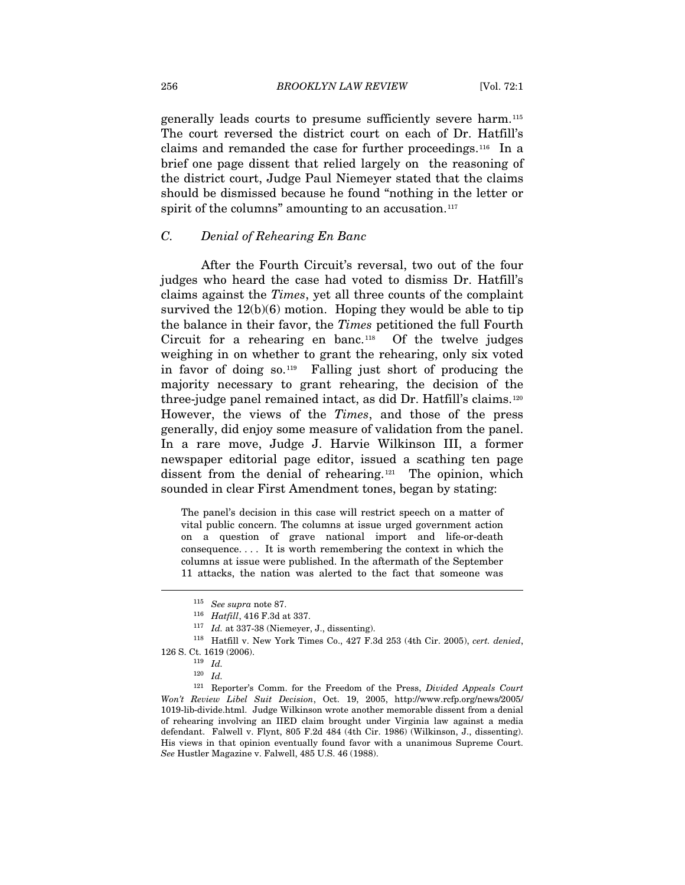generally leads courts to presume sufficiently severe harm.[115](#page-20-0) The court reversed the district court on each of Dr. Hatfill's claims and remanded the case for further proceedings.[116](#page-20-1) In a brief one page dissent that relied largely on the reasoning of the district court, Judge Paul Niemeyer stated that the claims should be dismissed because he found "nothing in the letter or spirit of the columns" amounting to an accusation. $117$ 

# *C. Denial of Rehearing En Banc*

After the Fourth Circuit's reversal, two out of the four judges who heard the case had voted to dismiss Dr. Hatfill's claims against the *Times*, yet all three counts of the complaint survived the  $12(b)(6)$  motion. Hoping they would be able to tip the balance in their favor, the *Times* petitioned the full Fourth Circuit for a rehearing en banc.<sup>[118](#page-20-3)</sup> Of the twelve judges weighing in on whether to grant the rehearing, only six voted in favor of doing so.[119](#page-20-4) Falling just short of producing the majority necessary to grant rehearing, the decision of the three-judge panel remained intact, as did Dr. Hatfill's claims.[120](#page-20-5) However, the views of the *Times*, and those of the press generally, did enjoy some measure of validation from the panel. In a rare move, Judge J. Harvie Wilkinson III, a former newspaper editorial page editor, issued a scathing ten page dissent from the denial of rehearing.<sup>[121](#page-20-6)</sup> The opinion, which sounded in clear First Amendment tones, began by stating:

The panel's decision in this case will restrict speech on a matter of vital public concern. The columns at issue urged government action on a question of grave national import and life-or-death consequence. . . . It is worth remembering the context in which the columns at issue were published. In the aftermath of the September 11 attacks, the nation was alerted to the fact that someone was

<sup>115</sup> *See supra* note 87.

<sup>116</sup> *Hatfill*, 416 F.3d at 337. 117 *Id.* at 337-38 (Niemeyer, J., dissenting). 118 Hatfill v. New York Times Co., 427 F.3d 253 (4th Cir. 2005), *cert. denied*,

<span id="page-20-3"></span><span id="page-20-2"></span><span id="page-20-1"></span><span id="page-20-0"></span><sup>126</sup> S. Ct. 1619 (2006). 119 *Id.*

<sup>120</sup> *Id.*

<span id="page-20-6"></span><span id="page-20-5"></span><span id="page-20-4"></span><sup>121</sup> Reporter's Comm. for the Freedom of the Press, *Divided Appeals Court Won't Review Libel Suit Decision*, Oct. 19, 2005, http://www.rcfp.org/news/2005/ 1019-lib-divide.html. Judge Wilkinson wrote another memorable dissent from a denial of rehearing involving an IIED claim brought under Virginia law against a media defendant. Falwell v. Flynt, 805 F.2d 484 (4th Cir. 1986) (Wilkinson, J., dissenting). His views in that opinion eventually found favor with a unanimous Supreme Court. *See* Hustler Magazine v. Falwell, 485 U.S. 46 (1988).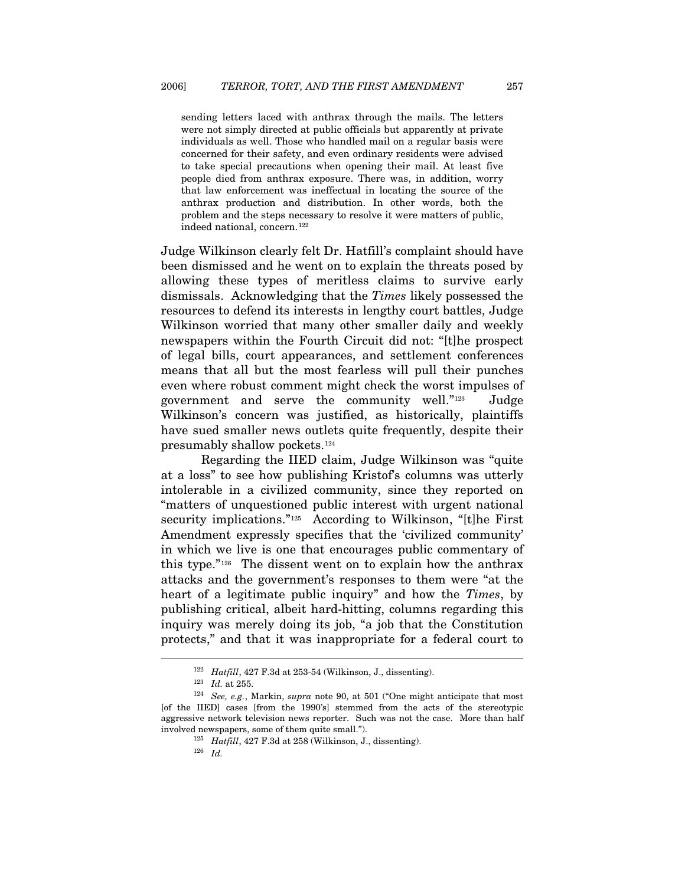sending letters laced with anthrax through the mails. The letters were not simply directed at public officials but apparently at private individuals as well. Those who handled mail on a regular basis were concerned for their safety, and even ordinary residents were advised to take special precautions when opening their mail. At least five people died from anthrax exposure. There was, in addition, worry that law enforcement was ineffectual in locating the source of the anthrax production and distribution. In other words, both the problem and the steps necessary to resolve it were matters of public, indeed national, concern.[122](#page-21-0)

Judge Wilkinson clearly felt Dr. Hatfill's complaint should have been dismissed and he went on to explain the threats posed by allowing these types of meritless claims to survive early dismissals. Acknowledging that the *Times* likely possessed the resources to defend its interests in lengthy court battles, Judge Wilkinson worried that many other smaller daily and weekly newspapers within the Fourth Circuit did not: "[t]he prospect of legal bills, court appearances, and settlement conferences means that all but the most fearless will pull their punches even where robust comment might check the worst impulses of government and serve the community well."[123](#page-21-1) Judge Wilkinson's concern was justified, as historically, plaintiffs have sued smaller news outlets quite frequently, despite their presumably shallow pockets.[124](#page-21-2)

Regarding the IIED claim, Judge Wilkinson was "quite at a loss" to see how publishing Kristof's columns was utterly intolerable in a civilized community, since they reported on "matters of unquestioned public interest with urgent national security implications."<sup>[125](#page-21-3)</sup> According to Wilkinson, "[t]he First Amendment expressly specifies that the 'civilized community' in which we live is one that encourages public commentary of this type."[126](#page-21-4) The dissent went on to explain how the anthrax attacks and the government's responses to them were "at the heart of a legitimate public inquiry" and how the *Times*, by publishing critical, albeit hard-hitting, columns regarding this inquiry was merely doing its job, "a job that the Constitution protects," and that it was inappropriate for a federal court to  $\overline{a}$ 

<span id="page-21-4"></span><span id="page-21-3"></span><span id="page-21-2"></span><span id="page-21-1"></span><span id="page-21-0"></span><sup>122</sup> *Hatfill*, 427 F.3d at 253-54 (Wilkinson, J., dissenting). 123 *Id.* at 255. 124 *See, e.g.*, Markin, *supra* note 90, at 501 ("One might anticipate that most [of the IIED] cases [from the 1990's] stemmed from the acts of the stereotypic aggressive network television news reporter. Such was not the case. More than half

<sup>&</sup>lt;sup>125</sup> *Hatfill*, 427 F.3d at 258 (Wilkinson, J., dissenting). <sup>126</sup> *Id.*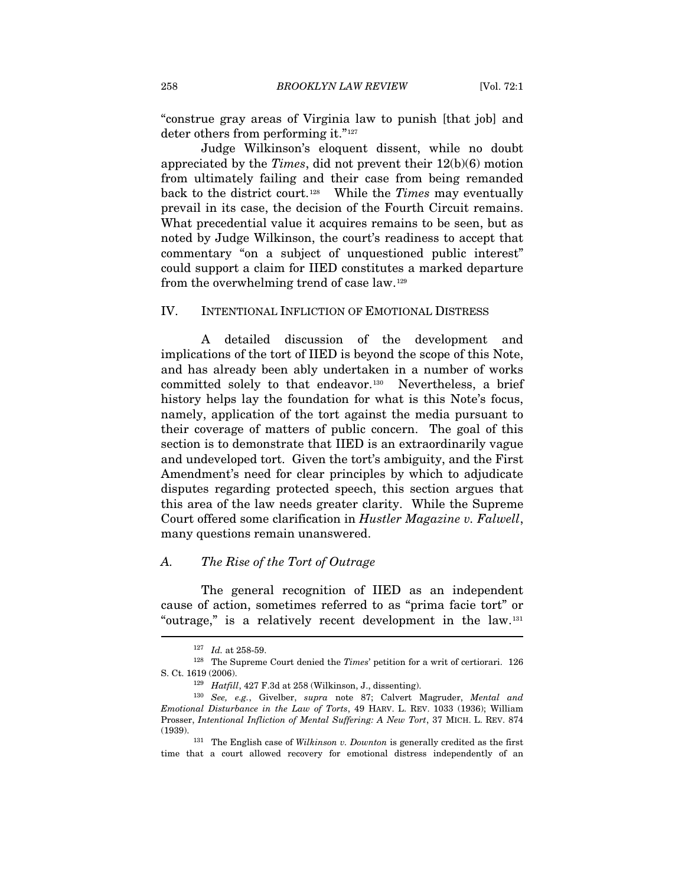"construe gray areas of Virginia law to punish [that job] and deter others from performing it."<sup>[127](#page-22-0)</sup>

Judge Wilkinson's eloquent dissent, while no doubt appreciated by the *Times*, did not prevent their 12(b)(6) motion from ultimately failing and their case from being remanded back to the district court.[128](#page-22-1) While the *Times* may eventually prevail in its case, the decision of the Fourth Circuit remains. What precedential value it acquires remains to be seen, but as noted by Judge Wilkinson, the court's readiness to accept that commentary "on a subject of unquestioned public interest" could support a claim for IIED constitutes a marked departure from the overwhelming trend of case law.[129](#page-22-2)

IV. INTENTIONAL INFLICTION OF EMOTIONAL DISTRESS

A detailed discussion of the development and implications of the tort of IIED is beyond the scope of this Note, and has already been ably undertaken in a number of works committed solely to that endeavor.[130](#page-22-3) Nevertheless, a brief history helps lay the foundation for what is this Note's focus, namely, application of the tort against the media pursuant to their coverage of matters of public concern. The goal of this section is to demonstrate that IIED is an extraordinarily vague and undeveloped tort. Given the tort's ambiguity, and the First Amendment's need for clear principles by which to adjudicate disputes regarding protected speech, this section argues that this area of the law needs greater clarity. While the Supreme Court offered some clarification in *Hustler Magazine v. Falwell*, many questions remain unanswered.

# *A. The Rise of the Tort of Outrage*

The general recognition of IIED as an independent cause of action, sometimes referred to as "prima facie tort" or "outrage," is a relatively recent development in the law.[131](#page-22-4)

<span id="page-22-1"></span><span id="page-22-0"></span><sup>&</sup>lt;sup>127</sup> *Id.* at 258-59.<br><sup>128</sup> The Supreme Court denied the *Times*' petition for a writ of certiorari. 126 S. Ct. 1619 (2006). 129 *Hatfill*, 427 F.3d at 258 (Wilkinson, J., dissenting). 130 *See, e.g.*, Givelber, *supra* note 87; Calvert Magruder, *Mental and* 

<span id="page-22-3"></span><span id="page-22-2"></span>*Emotional Disturbance in the Law of Torts*, 49 HARV. L. REV. 1033 (1936); William Prosser, *Intentional Infliction of Mental Suffering: A New Tort*, 37 MICH. L. REV. 874

<span id="page-22-4"></span><sup>(1939). 131</sup> The English case of *Wilkinson v. Downton* is generally credited as the first time that a court allowed recovery for emotional distress independently of an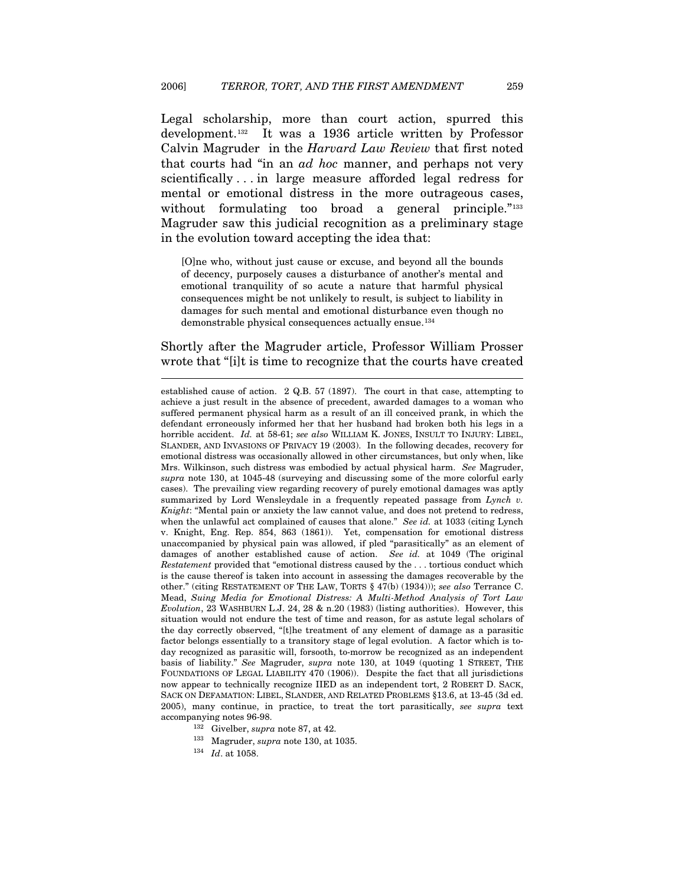Legal scholarship, more than court action, spurred this development.[132](#page-23-0) It was a 1936 article written by Professor Calvin Magruder in the *Harvard Law Review* that first noted that courts had "in an *ad hoc* manner, and perhaps not very scientifically . . . in large measure afforded legal redress for mental or emotional distress in the more outrageous cases, without formulating too broad a general principle."<sup>[133](#page-23-1)</sup> Magruder saw this judicial recognition as a preliminary stage in the evolution toward accepting the idea that:

[O]ne who, without just cause or excuse, and beyond all the bounds of decency, purposely causes a disturbance of another's mental and emotional tranquility of so acute a nature that harmful physical consequences might be not unlikely to result, is subject to liability in damages for such mental and emotional disturbance even though no demonstrable physical consequences actually ensue.<sup>[134](#page-23-2)</sup>

## Shortly after the Magruder article, Professor William Prosser wrote that "[i]t is time to recognize that the courts have created  $\overline{a}$

established cause of action. 2 Q.B. 57 (1897). The court in that case, attempting to achieve a just result in the absence of precedent, awarded damages to a woman who suffered permanent physical harm as a result of an ill conceived prank, in which the defendant erroneously informed her that her husband had broken both his legs in a horrible accident. *Id.* at 58-61; *see also* WILLIAM K. JONES, INSULT TO INJURY: LIBEL, SLANDER, AND INVASIONS OF PRIVACY 19 (2003). In the following decades, recovery for emotional distress was occasionally allowed in other circumstances, but only when, like Mrs. Wilkinson, such distress was embodied by actual physical harm. *See* Magruder, *supra* note 130, at 1045-48 (surveying and discussing some of the more colorful early cases). The prevailing view regarding recovery of purely emotional damages was aptly summarized by Lord Wensleydale in a frequently repeated passage from *Lynch v. Knight*: "Mental pain or anxiety the law cannot value, and does not pretend to redress, when the unlawful act complained of causes that alone." *See id.* at 1033 (citing Lynch v. Knight, Eng. Rep. 854, 863 (1861)). Yet, compensation for emotional distress unaccompanied by physical pain was allowed, if pled "parasitically" as an element of damages of another established cause of action. *See id.* at 1049 (The original *Restatement* provided that "emotional distress caused by the . . . tortious conduct which is the cause thereof is taken into account in assessing the damages recoverable by the other." (citing RESTATEMENT OF THE LAW, TORTS § 47(b) (1934))); *see also* Terrance C. Mead, *Suing Media for Emotional Distress: A Multi-Method Analysis of Tort Law Evolution*, 23 WASHBURN L.J. 24, 28 & n.20 (1983) (listing authorities). However, this situation would not endure the test of time and reason, for as astute legal scholars of the day correctly observed, "[t]he treatment of any element of damage as a parasitic factor belongs essentially to a transitory stage of legal evolution. A factor which is today recognized as parasitic will, forsooth, to-morrow be recognized as an independent basis of liability." *See* Magruder, *supra* note 130, at 1049 (quoting 1 STREET, THE FOUNDATIONS OF LEGAL LIABILITY 470 (1906)). Despite the fact that all jurisdictions now appear to technically recognize IIED as an independent tort, 2 ROBERT D. SACK, SACK ON DEFAMATION: LIBEL, SLANDER, AND RELATED PROBLEMS §13.6, at 13-45 (3d ed. 2005), many continue, in practice, to treat the tort parasitically, *see supra* text accompanying notes 96-98.<br><sup>132</sup> Givelber, *supra* note 87, at 42.<br><sup>133</sup> Magruder, *supra* note 130, at 1035.<br><sup>134</sup> *Id.* at 1058.

- 
- <span id="page-23-2"></span><span id="page-23-1"></span><span id="page-23-0"></span>
-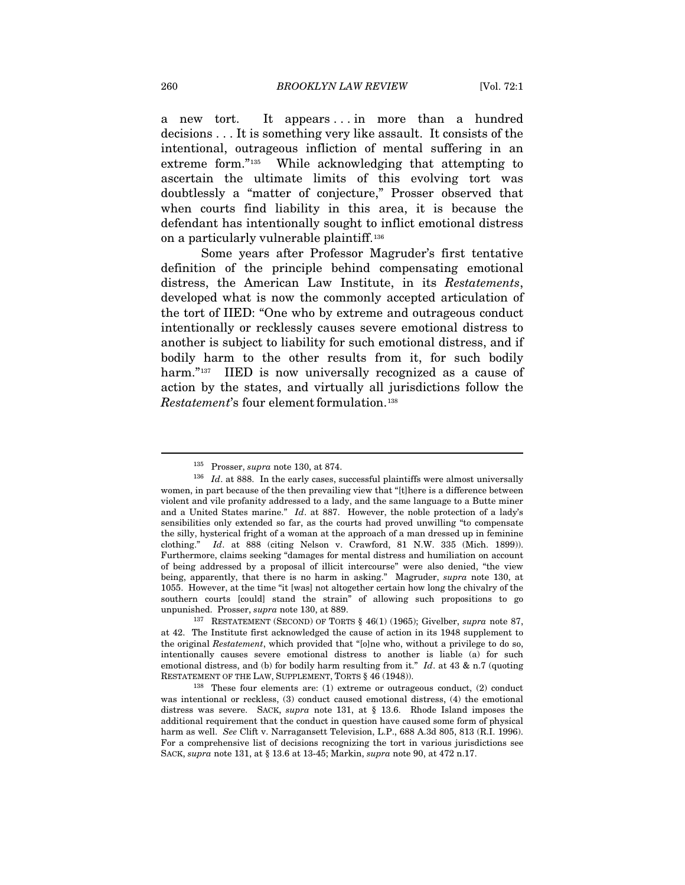a new tort. It appears ... in more than a hundred decisions . . . It is something very like assault. It consists of the intentional, outrageous infliction of mental suffering in an extreme form."[135](#page-24-0) While acknowledging that attempting to ascertain the ultimate limits of this evolving tort was doubtlessly a "matter of conjecture," Prosser observed that when courts find liability in this area, it is because the defendant has intentionally sought to inflict emotional distress on a particularly vulnerable plaintiff.[136](#page-24-1)

Some years after Professor Magruder's first tentative definition of the principle behind compensating emotional distress, the American Law Institute, in its *Restatements*, developed what is now the commonly accepted articulation of the tort of IIED: "One who by extreme and outrageous conduct intentionally or recklessly causes severe emotional distress to another is subject to liability for such emotional distress, and if bodily harm to the other results from it, for such bodily harm."<sup>[137](#page-24-2)</sup> IIED is now universally recognized as a cause of action by the states, and virtually all jurisdictions follow the *Restatement*'s four element formulation.<sup>[138](#page-24-3)</sup>

<sup>135</sup> Prosser, *supra* note 130, at 874.

<span id="page-24-1"></span><span id="page-24-0"></span><sup>&</sup>lt;sup>136</sup> *Id.* at 888. In the early cases, successful plaintiffs were almost universally women, in part because of the then prevailing view that "[t]here is a difference between violent and vile profanity addressed to a lady, and the same language to a Butte miner and a United States marine." *Id*. at 887. However, the noble protection of a lady's sensibilities only extended so far, as the courts had proved unwilling "to compensate the silly, hysterical fright of a woman at the approach of a man dressed up in feminine clothing." *Id*. at 888 (citing Nelson v. Crawford, 81 N.W. 335 (Mich. 1899)). Furthermore, claims seeking "damages for mental distress and humiliation on account of being addressed by a proposal of illicit intercourse" were also denied, "the view being, apparently, that there is no harm in asking." Magruder, *supra* note 130, at 1055. However, at the time "it [was] not altogether certain how long the chivalry of the southern courts [could] stand the strain" of allowing such propositions to go unpunished. Prosser, *supra* note 130, at 889. 137 RESTATEMENT (SECOND) OF TORTS § 46(1) (1965); Givelber, *supra* note 87,

<span id="page-24-2"></span>at 42. The Institute first acknowledged the cause of action in its 1948 supplement to the original *Restatement*, which provided that "[o]ne who, without a privilege to do so, intentionally causes severe emotional distress to another is liable (a) for such emotional distress, and (b) for bodily harm resulting from it." *Id*. at 43 & n.7 (quoting RESTATEMENT OF THE LAW, SUPPLEMENT, TORTS § 46 (1948)).<br><sup>138</sup> These four elements are: (1) extreme or outrageous conduct, (2) conduct

<span id="page-24-3"></span>was intentional or reckless, (3) conduct caused emotional distress, (4) the emotional distress was severe. SACK, *supra* note 131, at § 13.6. Rhode Island imposes the additional requirement that the conduct in question have caused some form of physical harm as well. *See* Clift v. Narragansett Television, L.P., 688 A.3d 805, 813 (R.I. 1996). For a comprehensive list of decisions recognizing the tort in various jurisdictions see SACK, *supra* note 131, at § 13.6 at 13-45; Markin, *supra* note 90, at 472 n.17.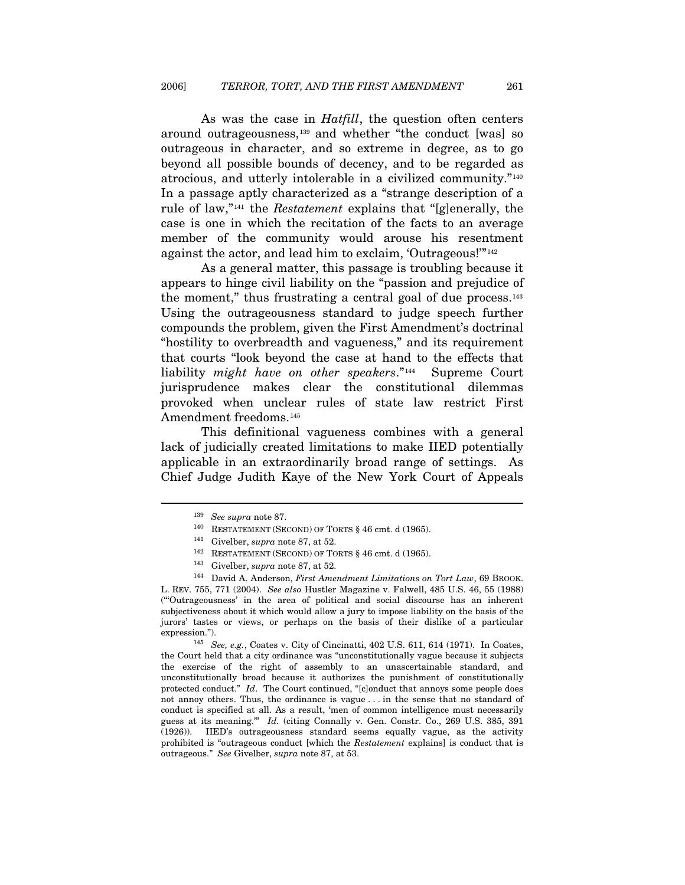As was the case in *Hatfill*, the question often centers around outrageousness,[139](#page-25-0) and whether "the conduct [was] so outrageous in character, and so extreme in degree, as to go beyond all possible bounds of decency, and to be regarded as atrocious, and utterly intolerable in a civilized community."[140](#page-25-1) In a passage aptly characterized as a "strange description of a rule of law,"[141](#page-25-2) the *Restatement* explains that "[g]enerally, the case is one in which the recitation of the facts to an average member of the community would arouse his resentment against the actor, and lead him to exclaim, 'Outrageous!'"[142](#page-25-3)

As a general matter, this passage is troubling because it appears to hinge civil liability on the "passion and prejudice of the moment," thus frustrating a central goal of due process.<sup>[143](#page-25-4)</sup> Using the outrageousness standard to judge speech further compounds the problem, given the First Amendment's doctrinal "hostility to overbreadth and vagueness," and its requirement that courts "look beyond the case at hand to the effects that liability *might have on other speakers*."[144](#page-25-5) Supreme Court jurisprudence makes clear the constitutional dilemmas provoked when unclear rules of state law restrict First Amendment freedoms.[145](#page-25-6)

This definitional vagueness combines with a general lack of judicially created limitations to make IIED potentially applicable in an extraordinarily broad range of settings. As Chief Judge Judith Kaye of the New York Court of Appeals

 $\overline{a}$ 

<span id="page-25-6"></span><span id="page-25-5"></span>expression."). 145 *See, e.g.*, Coates v. City of Cincinatti, 402 U.S. 611, 614 (1971). In Coates, the Court held that a city ordinance was "unconstitutionally vague because it subjects the exercise of the right of assembly to an unascertainable standard, and unconstitutionally broad because it authorizes the punishment of constitutionally protected conduct." *Id*.The Court continued, "[c]onduct that annoys some people does not annoy others. Thus, the ordinance is vague . . . in the sense that no standard of conduct is specified at all. As a result, 'men of common intelligence must necessarily guess at its meaning.'" *Id.* (citing Connally v. Gen. Constr. Co., 269 U.S. 385, 391 (1926)). IIED's outrageousness standard seems equally vague, as the activity prohibited is "outrageous conduct [which the *Restatement* explains] is conduct that is outrageous." *See* Givelber, *supra* note 87, at 53.

<span id="page-25-4"></span><span id="page-25-3"></span><span id="page-25-2"></span><span id="page-25-1"></span><span id="page-25-0"></span><sup>&</sup>lt;sup>139</sup> See supra note 87.<br>
<sup>140</sup> RESTATEMENT (SECOND) OF TORTS § 46 cmt. d (1965).<br>
<sup>141</sup> Givelber, *supra* note 87, at 52.<br>
<sup>142</sup> RESTATEMENT (SECOND) OF TORTS § 46 cmt. d (1965).<br>
<sup>143</sup> Givelber, *supra* note 87, at 52.<br> L. REV. 755, 771 (2004). *See also* Hustler Magazine v. Falwell, 485 U.S. 46, 55 (1988) ("'Outrageousness' in the area of political and social discourse has an inherent subjectiveness about it which would allow a jury to impose liability on the basis of the jurors' tastes or views, or perhaps on the basis of their dislike of a particular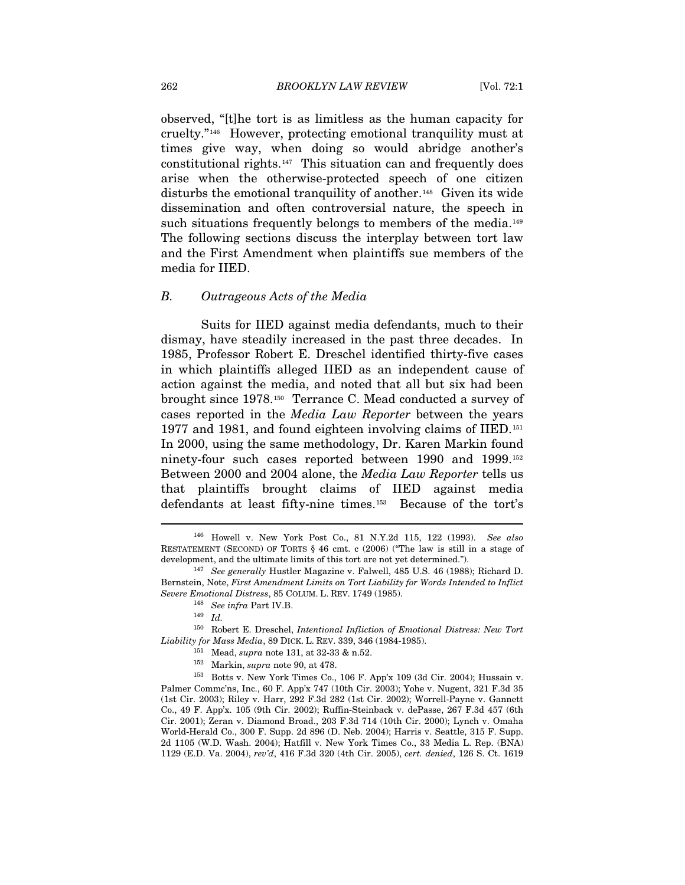observed, "[t]he tort is as limitless as the human capacity for cruelty."[146](#page-26-0) However, protecting emotional tranquility must at times give way, when doing so would abridge another's constitutional rights.[147](#page-26-1) This situation can and frequently does arise when the otherwise-protected speech of one citizen disturbs the emotional tranquility of another.[148](#page-26-2) Given its wide dissemination and often controversial nature, the speech in such situations frequently belongs to members of the media.<sup>[149](#page-26-3)</sup> The following sections discuss the interplay between tort law and the First Amendment when plaintiffs sue members of the media for IIED.

#### *B. Outrageous Acts of the Media*

Suits for IIED against media defendants, much to their dismay, have steadily increased in the past three decades. In 1985, Professor Robert E. Dreschel identified thirty-five cases in which plaintiffs alleged IIED as an independent cause of action against the media, and noted that all but six had been brought since 1978.[150](#page-26-4) Terrance C. Mead conducted a survey of cases reported in the *Media Law Reporter* between the years 1977 and 1981, and found eighteen involving claims of IIED.[151](#page-26-5) In 2000, using the same methodology, Dr. Karen Markin found ninety-four such cases reported between 1990 and 1999.[152](#page-26-6) Between 2000 and 2004 alone, the *Media Law Reporter* tells us that plaintiffs brought claims of IIED against media defendants at least fifty-nine times.[153](#page-26-7) Because of the tort's

<span id="page-26-0"></span><sup>146</sup> Howell v. New York Post Co., 81 N.Y.2d 115, 122 (1993). *See also* RESTATEMENT (SECOND) OF TORTS § 46 cmt. c (2006) ("The law is still in a stage of development, and the ultimate limits of this tort are not yet determined."). 147 *See generally* Hustler Magazine v. Falwell, 485 U.S. 46 (1988); Richard D.

<span id="page-26-2"></span><span id="page-26-1"></span>Bernstein, Note, *First Amendment Limits on Tort Liability for Words Intended to Inflict Severe Emotional Distress*, 85 COLUM. L. REV. 1749 (1985). 148 *See infra* Part IV.B. 149 *Id.*

<sup>150</sup> Robert E. Dreschel, *Intentional Infliction of Emotional Distress: New Tort* 

<span id="page-26-7"></span><span id="page-26-6"></span><span id="page-26-5"></span><span id="page-26-4"></span><span id="page-26-3"></span>Liability for Mass Media, 89 DICK. L. REV. 339, 346 (1984-1985).<br><sup>151</sup> Mead, *supra* note 131, at 32-33 & n.52.<br><sup>152</sup> Markin, *supra* note 90, at 478.<br><sup>153</sup> Botts v. New York Times Co., 106 F. App'x 109 (3d Cir. 2004); Hu Palmer Commc'ns, Inc., 60 F. App'x 747 (10th Cir. 2003); Yohe v. Nugent, 321 F.3d 35 (1st Cir. 2003); Riley v. Harr, 292 F.3d 282 (1st Cir. 2002); Worrell-Payne v. Gannett Co., 49 F. App'x. 105 (9th Cir. 2002); Ruffin-Steinback v. dePasse, 267 F.3d 457 (6th Cir. 2001); Zeran v. Diamond Broad., 203 F.3d 714 (10th Cir. 2000); Lynch v. Omaha World-Herald Co., 300 F. Supp. 2d 896 (D. Neb. 2004); Harris v. Seattle, 315 F. Supp. 2d 1105 (W.D. Wash. 2004); Hatfill v. New York Times Co., 33 Media L. Rep. (BNA) 1129 (E.D. Va. 2004), *rev'd*, 416 F.3d 320 (4th Cir. 2005), *cert. denied*, 126 S. Ct. 1619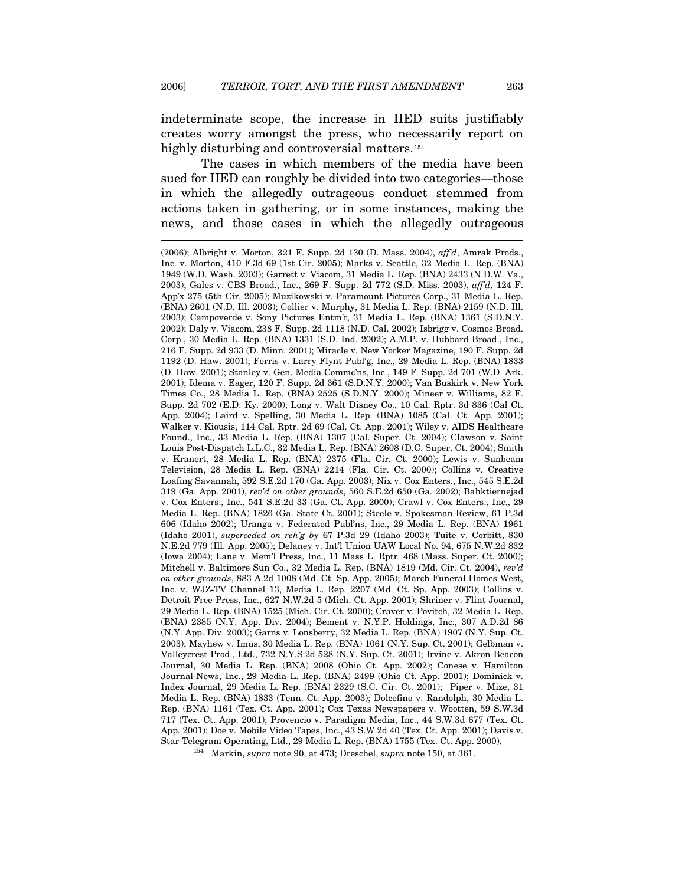indeterminate scope, the increase in IIED suits justifiably creates worry amongst the press, who necessarily report on highly disturbing and controversial matters.<sup>[154](#page-27-0)</sup>

The cases in which members of the media have been sued for IIED can roughly be divided into two categories—those in which the allegedly outrageous conduct stemmed from actions taken in gathering, or in some instances, making the news, and those cases in which the allegedly outrageous  $\overline{a}$ 

<span id="page-27-0"></span>

<sup>(2006);</sup> Albright v. Morton, 321 F. Supp. 2d 130 (D. Mass. 2004), *aff'd*, Amrak Prods., Inc. v. Morton, 410 F.3d 69 (1st Cir. 2005); Marks v. Seattle, 32 Media L. Rep. (BNA) 1949 (W.D. Wash. 2003); Garrett v. Viacom, 31 Media L. Rep. (BNA) 2433 (N.D.W. Va., 2003); Gales v. CBS Broad., Inc., 269 F. Supp. 2d 772 (S.D. Miss. 2003), *aff'd*, 124 F. App'x 275 (5th Cir. 2005); Muzikowski v. Paramount Pictures Corp., 31 Media L. Rep. (BNA) 2601 (N.D. Ill. 2003); Collier v. Murphy, 31 Media L. Rep. (BNA) 2159 (N.D. Ill. 2003); Campoverde v. Sony Pictures Entm't, 31 Media L. Rep. (BNA) 1361 (S.D.N.Y. 2002); Daly v. Viacom, 238 F. Supp. 2d 1118 (N.D. Cal. 2002); Isbrigg v. Cosmos Broad. Corp., 30 Media L. Rep. (BNA) 1331 (S.D. Ind. 2002); A.M.P. v. Hubbard Broad., Inc., 216 F. Supp. 2d 933 (D. Minn. 2001); Miracle v. New Yorker Magazine, 190 F. Supp. 2d 1192 (D. Haw. 2001); Ferris v. Larry Flynt Publ'g, Inc., 29 Media L. Rep. (BNA) 1833 (D. Haw. 2001); Stanley v. Gen. Media Commc'ns, Inc., 149 F. Supp. 2d 701 (W.D. Ark. 2001); Idema v. Eager, 120 F. Supp. 2d 361 (S.D.N.Y. 2000); Van Buskirk v. New York Times Co., 28 Media L. Rep. (BNA) 2525 (S.D.N.Y. 2000); Mineer v. Williams, 82 F. Supp. 2d 702 (E.D. Ky. 2000); Long v. Walt Disney Co., 10 Cal. Rptr. 3d 836 (Cal Ct. App. 2004); Laird v. Spelling, 30 Media L. Rep. (BNA) 1085 (Cal. Ct. App. 2001); Walker v. Kiousis, 114 Cal. Rptr. 2d 69 (Cal. Ct. App. 2001); Wiley v. AIDS Healthcare Found., Inc., 33 Media L. Rep. (BNA) 1307 (Cal. Super. Ct. 2004); Clawson v. Saint Louis Post-Dispatch L.L.C., 32 Media L. Rep. (BNA) 2608 (D.C. Super. Ct. 2004); Smith v. Kranert, 28 Media L. Rep. (BNA) 2375 (Fla. Cir. Ct. 2000); Lewis v. Sunbeam Television, 28 Media L. Rep. (BNA) 2214 (Fla. Cir. Ct. 2000); Collins v. Creative Loafing Savannah, 592 S.E.2d 170 (Ga. App. 2003); Nix v. Cox Enters., Inc., 545 S.E.2d 319 (Ga. App. 2001), *rev'd on other grounds*, 560 S.E.2d 650 (Ga. 2002); Bahktiernejad v. Cox Enters., Inc., 541 S.E.2d 33 (Ga. Ct. App. 2000); Crawl v. Cox Enters., Inc., 29 Media L. Rep. (BNA) 1826 (Ga. State Ct. 2001); Steele v. Spokesman-Review, 61 P.3d 606 (Idaho 2002); Uranga v. Federated Publ'ns, Inc., 29 Media L. Rep. (BNA) 1961 (Idaho 2001), *superceded on reh'g by* 67 P.3d 29 (Idaho 2003); Tuite v. Corbitt, 830 N.E.2d 779 (Ill. App. 2005); Delaney v. Int'l Union UAW Local No. 94, 675 N.W.2d 832 (Iowa 2004); Lane v. Mem'l Press, Inc., 11 Mass L. Rptr. 468 (Mass. Super. Ct. 2000); Mitchell v. Baltimore Sun Co., 32 Media L. Rep. (BNA) 1819 (Md. Cir. Ct. 2004), *rev'd on other grounds*, 883 A.2d 1008 (Md. Ct. Sp. App. 2005); March Funeral Homes West, Inc. v. WJZ-TV Channel 13, Media L. Rep. 2207 (Md. Ct. Sp. App. 2003); Collins v. Detroit Free Press, Inc., 627 N.W.2d 5 (Mich. Ct. App. 2001); Shriner v. Flint Journal, 29 Media L. Rep. (BNA) 1525 (Mich. Cir. Ct. 2000); Craver v. Povitch, 32 Media L. Rep. (BNA) 2385 (N.Y. App. Div. 2004); Bement v. N.Y.P. Holdings, Inc., 307 A.D.2d 86 (N.Y. App. Div. 2003); Garns v. Lonsberry, 32 Media L. Rep. (BNA) 1907 (N.Y. Sup. Ct. 2003); Mayhew v. Imus, 30 Media L. Rep. (BNA) 1061 (N.Y. Sup. Ct. 2001); Gelbman v. Valleycrest Prod., Ltd., 732 N.Y.S.2d 528 (N.Y. Sup. Ct. 2001); Irvine v. Akron Beacon Journal, 30 Media L. Rep. (BNA) 2008 (Ohio Ct. App. 2002); Conese v. Hamilton Journal-News, Inc., 29 Media L. Rep. (BNA) 2499 (Ohio Ct. App. 2001); Dominick v. Index Journal, 29 Media L. Rep. (BNA) 2329 (S.C. Cir. Ct. 2001); Piper v. Mize, 31 Media L. Rep. (BNA) 1833 (Tenn. Ct. App. 2003); Dolcefino v. Randolph, 30 Media L. Rep. (BNA) 1161 (Tex. Ct. App. 2001); Cox Texas Newspapers v. Wootten, 59 S.W.3d 717 (Tex. Ct. App. 2001); Provencio v. Paradigm Media, Inc., 44 S.W.3d 677 (Tex. Ct. App. 2001); Doe v. Mobile Video Tapes, Inc., 43 S.W.2d 40 (Tex. Ct. App. 2001); Davis v. Star-Telegram Operating, Ltd., 29 Media L. Rep. (BNA) 1755 (Tex. Ct. App. 2000). 154 Markin, *supra* note 90, at 473; Dreschel, *supra* note 150, at 361.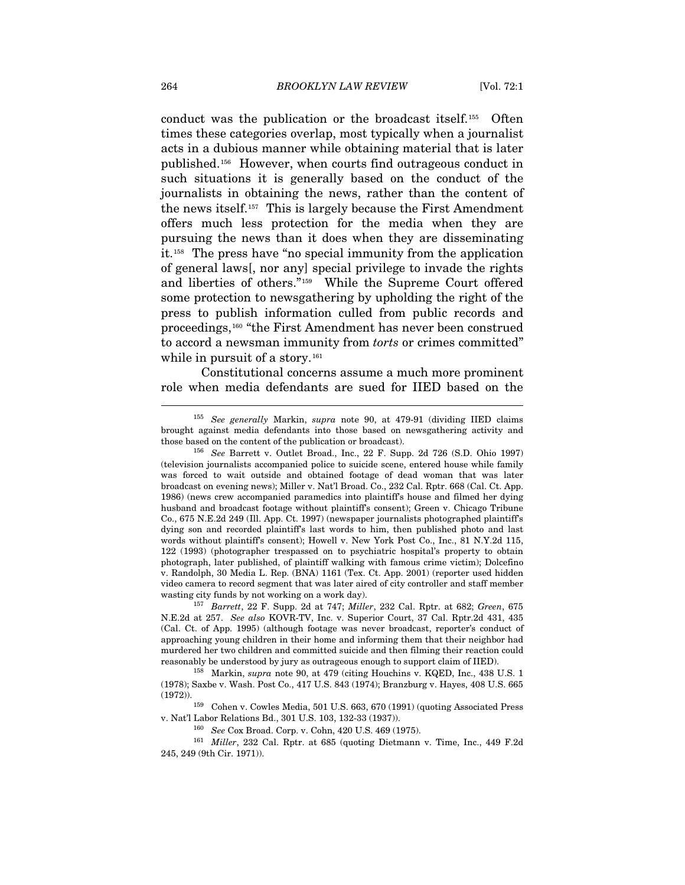conduct was the publication or the broadcast itself.[155](#page-28-0) Often times these categories overlap, most typically when a journalist acts in a dubious manner while obtaining material that is later published.[156](#page-28-1) However, when courts find outrageous conduct in such situations it is generally based on the conduct of the journalists in obtaining the news, rather than the content of the news itself.[157](#page-28-2) This is largely because the First Amendment offers much less protection for the media when they are pursuing the news than it does when they are disseminating it.[158](#page-28-3) The press have "no special immunity from the application of general laws[, nor any] special privilege to invade the rights and liberties of others."[159](#page-28-4) While the Supreme Court offered some protection to newsgathering by upholding the right of the press to publish information culled from public records and proceedings,[160](#page-28-5) "the First Amendment has never been construed to accord a newsman immunity from *torts* or crimes committed" while in pursuit of a story.<sup>[161](#page-28-6)</sup>

Constitutional concerns assume a much more prominent role when media defendants are sued for IIED based on the  $\overline{a}$ 

<span id="page-28-0"></span><sup>155</sup> *See generally* Markin, *supra* note 90, at 479-91 (dividing IIED claims brought against media defendants into those based on newsgathering activity and those based on the content of the publication or broadcast). 156 *See* Barrett v. Outlet Broad., Inc., 22 F. Supp. 2d 726 (S.D. Ohio 1997)

<span id="page-28-1"></span><sup>(</sup>television journalists accompanied police to suicide scene, entered house while family was forced to wait outside and obtained footage of dead woman that was later broadcast on evening news); Miller v. Nat'l Broad. Co., 232 Cal. Rptr. 668 (Cal. Ct. App. 1986) (news crew accompanied paramedics into plaintiff's house and filmed her dying husband and broadcast footage without plaintiff's consent); Green v. Chicago Tribune Co., 675 N.E.2d 249 (Ill. App. Ct. 1997) (newspaper journalists photographed plaintiff's dying son and recorded plaintiff's last words to him, then published photo and last words without plaintiff's consent); Howell v. New York Post Co., Inc., 81 N.Y.2d 115, 122 (1993) (photographer trespassed on to psychiatric hospital's property to obtain photograph, later published, of plaintiff walking with famous crime victim); Dolcefino v. Randolph, 30 Media L. Rep. (BNA) 1161 (Tex. Ct. App. 2001) (reporter used hidden video camera to record segment that was later aired of city controller and staff member wasting city funds by not working on a work day). 157 *Barrett*, 22 F. Supp. 2d at 747; *Miller*, 232 Cal. Rptr. at 682; *Green*, 675

<span id="page-28-2"></span>N.E.2d at 257. *See also* KOVR-TV, Inc. v. Superior Court, 37 Cal. Rptr.2d 431, 435 (Cal. Ct. of App. 1995) (although footage was never broadcast, reporter's conduct of approaching young children in their home and informing them that their neighbor had murdered her two children and committed suicide and then filming their reaction could reasonably be understood by jury as outrageous enough to support claim of IIED). 158 Markin, *supra* note 90, at 479 (citing Houchins v. KQED, Inc., 438 U.S. 1

<span id="page-28-3"></span><sup>(1978);</sup> Saxbe v. Wash. Post Co., 417 U.S. 843 (1974); Branzburg v. Hayes, 408 U.S. 665 (1972)).  $159$  Cohen v. Cowles Media, 501 U.S. 663, 670 (1991) (quoting Associated Press

<span id="page-28-4"></span>v. Nat'l Labor Relations Bd., 301 U.S. 103, 132-33 (1937)). 160 *See* Cox Broad. Corp. v. Cohn, 420 U.S. 469 (1975). 161 *Miller*, 232 Cal. Rptr. at 685 (quoting Dietmann v. Time, Inc., 449 F.2d

<span id="page-28-6"></span><span id="page-28-5"></span><sup>245, 249 (9</sup>th Cir. 1971)).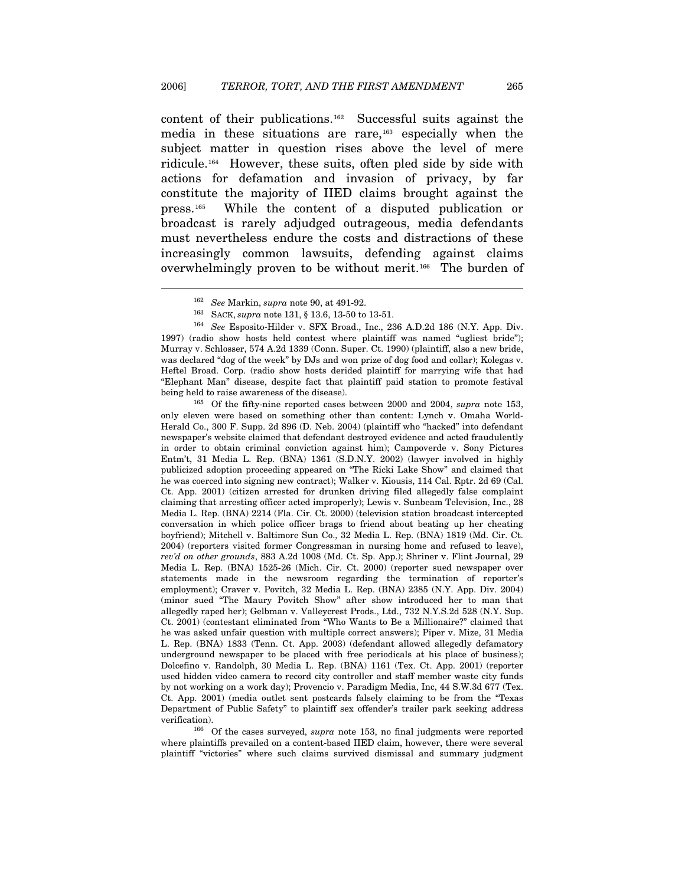content of their publications.[162](#page-29-0) Successful suits against the media in these situations are rare,[163](#page-29-1) especially when the subject matter in question rises above the level of mere ridicule.[164](#page-29-2) However, these suits, often pled side by side with actions for defamation and invasion of privacy, by far constitute the majority of IIED claims brought against the press.[165](#page-29-3) While the content of a disputed publication or broadcast is rarely adjudged outrageous, media defendants must nevertheless endure the costs and distractions of these increasingly common lawsuits, defending against claims overwhelmingly proven to be without merit.[166](#page-29-4) The burden of

 $\overline{a}$ 

<span id="page-29-2"></span><span id="page-29-1"></span><span id="page-29-0"></span><sup>162</sup> *See* Markin, *supra* note 90, at 491-92. 163 SACK, *supra* note 131, § 13.6, 13-50 to 13-51. 164 *See* Esposito-Hilder v. SFX Broad., Inc., 236 A.D.2d 186 (N.Y. App. Div. 1997) (radio show hosts held contest where plaintiff was named "ugliest bride"); Murray v. Schlosser, 574 A.2d 1339 (Conn. Super. Ct. 1990) (plaintiff, also a new bride, was declared "dog of the week" by DJs and won prize of dog food and collar); Kolegas v. Heftel Broad. Corp. (radio show hosts derided plaintiff for marrying wife that had "Elephant Man" disease, despite fact that plaintiff paid station to promote festival being held to raise awareness of the disease). 165 Of the fifty-nine reported cases between 2000 and 2004, *supra* note 153,

<span id="page-29-3"></span>only eleven were based on something other than content: Lynch v. Omaha World-Herald Co., 300 F. Supp. 2d 896 (D. Neb. 2004) (plaintiff who "hacked" into defendant newspaper's website claimed that defendant destroyed evidence and acted fraudulently in order to obtain criminal conviction against him); Campoverde v. Sony Pictures Entm't, 31 Media L. Rep. (BNA) 1361 (S.D.N.Y. 2002) (lawyer involved in highly publicized adoption proceeding appeared on "The Ricki Lake Show" and claimed that he was coerced into signing new contract); Walker v. Kiousis, 114 Cal. Rptr. 2d 69 (Cal. Ct. App. 2001) (citizen arrested for drunken driving filed allegedly false complaint claiming that arresting officer acted improperly); Lewis v. Sunbeam Television, Inc., 28 Media L. Rep. (BNA) 2214 (Fla. Cir. Ct. 2000) (television station broadcast intercepted conversation in which police officer brags to friend about beating up her cheating boyfriend); Mitchell v. Baltimore Sun Co., 32 Media L. Rep. (BNA) 1819 (Md. Cir. Ct. 2004) (reporters visited former Congressman in nursing home and refused to leave), *rev'd on other grounds*, 883 A.2d 1008 (Md. Ct. Sp. App.); Shriner v. Flint Journal, 29 Media L. Rep. (BNA) 1525-26 (Mich. Cir. Ct. 2000) (reporter sued newspaper over statements made in the newsroom regarding the termination of reporter's employment); Craver v. Povitch, 32 Media L. Rep. (BNA) 2385 (N.Y. App. Div. 2004) (minor sued "The Maury Povitch Show" after show introduced her to man that allegedly raped her); Gelbman v. Valleycrest Prods., Ltd., 732 N.Y.S.2d 528 (N.Y. Sup. Ct. 2001) (contestant eliminated from "Who Wants to Be a Millionaire?" claimed that he was asked unfair question with multiple correct answers); Piper v. Mize, 31 Media L. Rep. (BNA) 1833 (Tenn. Ct. App. 2003) (defendant allowed allegedly defamatory underground newspaper to be placed with free periodicals at his place of business); Dolcefino v. Randolph, 30 Media L. Rep. (BNA) 1161 (Tex. Ct. App. 2001) (reporter used hidden video camera to record city controller and staff member waste city funds by not working on a work day); Provencio v. Paradigm Media, Inc, 44 S.W.3d 677 (Tex. Ct. App. 2001) (media outlet sent postcards falsely claiming to be from the "Texas Department of Public Safety" to plaintiff sex offender's trailer park seeking address verification). 166 Of the cases surveyed, *supra* note 153, no final judgments were reported

<span id="page-29-4"></span>where plaintiffs prevailed on a content-based IIED claim, however, there were several plaintiff "victories" where such claims survived dismissal and summary judgment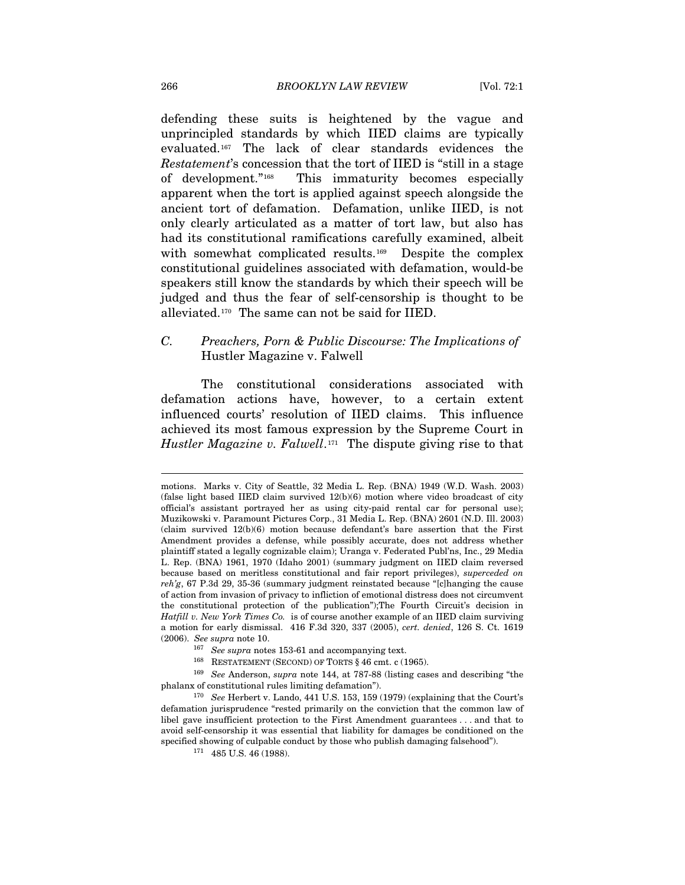defending these suits is heightened by the vague and unprincipled standards by which IIED claims are typically evaluated.[167](#page-30-0) The lack of clear standards evidences the *Restatement*'s concession that the tort of IIED is "still in a stage of development."[168](#page-30-1) This immaturity becomes especially apparent when the tort is applied against speech alongside the ancient tort of defamation. Defamation, unlike IIED, is not only clearly articulated as a matter of tort law, but also has had its constitutional ramifications carefully examined, albeit with somewhat complicated results.<sup>[169](#page-30-2)</sup> Despite the complex constitutional guidelines associated with defamation, would-be speakers still know the standards by which their speech will be judged and thus the fear of self-censorship is thought to be alleviated.[170](#page-30-3) The same can not be said for IIED.

# *C. Preachers, Porn & Public Discourse: The Implications of*  Hustler Magazine v. Falwell

The constitutional considerations associated with defamation actions have, however, to a certain extent influenced courts' resolution of IIED claims. This influence achieved its most famous expression by the Supreme Court in *Hustler Magazine v. Falwell*.<sup>[171](#page-30-4)</sup> The dispute giving rise to that

motions. Marks v. City of Seattle, 32 Media L. Rep. (BNA) 1949 (W.D. Wash. 2003) (false light based IIED claim survived 12(b)(6) motion where video broadcast of city official's assistant portrayed her as using city-paid rental car for personal use); Muzikowski v. Paramount Pictures Corp., 31 Media L. Rep. (BNA) 2601 (N.D. Ill. 2003) (claim survived 12(b)(6) motion because defendant's bare assertion that the First Amendment provides a defense, while possibly accurate, does not address whether plaintiff stated a legally cognizable claim); Uranga v. Federated Publ'ns, Inc., 29 Media L. Rep. (BNA) 1961, 1970 (Idaho 2001) (summary judgment on IIED claim reversed because based on meritless constitutional and fair report privileges), *superceded on reh'g*, 67 P.3d 29, 35-36 (summary judgment reinstated because "[c]hanging the cause of action from invasion of privacy to infliction of emotional distress does not circumvent the constitutional protection of the publication");The Fourth Circuit's decision in *Hatfill v. New York Times Co.* is of course another example of an IIED claim surviving a motion for early dismissal. 416 F.3d 320, 337 (2005), *cert. denied*, 126 S. Ct. 1619

<span id="page-30-1"></span><span id="page-30-0"></span> $^{167}$  See supra notes 153-61 and accompanying text.<br>  $^{168}$  RESTATEMENT (SECOND) OF TORTS § 46 cmt. c (1965).<br>  $^{169}$  See Anderson, *supra* note 144, at 787-88 (listing cases and describing "the phalanx of constitutional rules limiting defamation"). 170 *See* Herbert v. Lando, 441 U.S. 153, 159 (1979) (explaining that the Court's

<span id="page-30-4"></span><span id="page-30-3"></span><span id="page-30-2"></span>defamation jurisprudence "rested primarily on the conviction that the common law of libel gave insufficient protection to the First Amendment guarantees . . . and that to avoid self-censorship it was essential that liability for damages be conditioned on the specified showing of culpable conduct by those who publish damaging falsehood").  $171$  485 U.S. 46 (1988).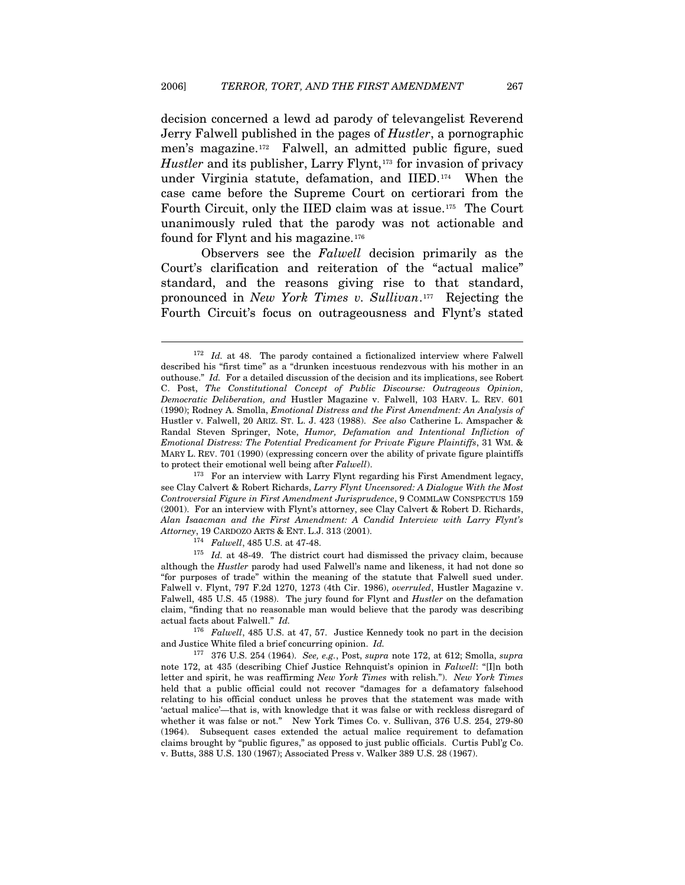decision concerned a lewd ad parody of televangelist Reverend Jerry Falwell published in the pages of *Hustler*, a pornographic men's magazine.[172](#page-31-0) Falwell, an admitted public figure, sued *Hustler* and its publisher, Larry Flynt,<sup>[173](#page-31-1)</sup> for invasion of privacy under Virginia statute, defamation, and IIED.[174](#page-31-2) When the case came before the Supreme Court on certiorari from the Fourth Circuit, only the IIED claim was at issue.[175](#page-31-3) The Court unanimously ruled that the parody was not actionable and found for Flynt and his magazine.[176](#page-31-4)

Observers see the *Falwell* decision primarily as the Court's clarification and reiteration of the "actual malice" standard, and the reasons giving rise to that standard, pronounced in *New York Times v. Sullivan*.[177](#page-31-5) Rejecting the Fourth Circuit's focus on outrageousness and Flynt's stated

<span id="page-31-1"></span>see Clay Calvert & Robert Richards, *Larry Flynt Uncensored: A Dialogue With the Most Controversial Figure in First Amendment Jurisprudence*, 9 COMMLAW CONSPECTUS 159 (2001). For an interview with Flynt's attorney, see Clay Calvert & Robert D. Richards, *Alan Isaacman and the First Amendment: A Candid Interview with Larry Flynt's Attorney*, 19 CARDOZO ARTS & ENT. L.J. 313 (2001). 174 *Falwell*, 485 U.S. at 47-48. 175 *Id.* at 48-49. The district court had dismissed the privacy claim, because

 $\overline{a}$ 

<span id="page-31-4"></span><sup>176</sup> *Falwell*, 485 U.S. at 47, 57. Justice Kennedy took no part in the decision and Justice White filed a brief concurring opinion. *Id.*

<span id="page-31-0"></span><sup>&</sup>lt;sup>172</sup> *Id.* at 48. The parody contained a fictionalized interview where Falwell described his "first time" as a "drunken incestuous rendezvous with his mother in an outhouse." *Id.* For a detailed discussion of the decision and its implications, see Robert C. Post, *The Constitutional Concept of Public Discourse: Outrageous Opinion, Democratic Deliberation, and* Hustler Magazine v. Falwell, 103 HARV. L. REV. 601 (1990); Rodney A. Smolla, *Emotional Distress and the First Amendment: An Analysis of*  Hustler v. Falwell, 20 ARIZ. ST. L. J. 423 (1988). *See also* Catherine L. Amspacher & Randal Steven Springer, Note, *Humor, Defamation and Intentional Infliction of Emotional Distress: The Potential Predicament for Private Figure Plaintiffs*, 31 WM. & MARY L. REV. 701 (1990) (expressing concern over the ability of private figure plaintiffs to protect their emotional well being after *Falwell*).<br><sup>173</sup> For an interview with Larry Flynt regarding his First Amendment legacy,

<span id="page-31-3"></span><span id="page-31-2"></span>although the *Hustler* parody had used Falwell's name and likeness, it had not done so "for purposes of trade" within the meaning of the statute that Falwell sued under. Falwell v. Flynt, 797 F.2d 1270, 1273 (4th Cir. 1986), *overruled*, Hustler Magazine v. Falwell, 485 U.S. 45 (1988). The jury found for Flynt and *Hustler* on the defamation claim, "finding that no reasonable man would believe that the parody was describing actual facts about Falwell." *Id.*

<span id="page-31-5"></span><sup>177 376</sup> U.S. 254 (1964). *See, e.g.*, Post, *supra* note 172, at 612; Smolla, *supra*  note 172, at 435 (describing Chief Justice Rehnquist's opinion in *Falwell*: "[I]n both letter and spirit, he was reaffirming *New York Times* with relish."). *New York Times*  held that a public official could not recover "damages for a defamatory falsehood relating to his official conduct unless he proves that the statement was made with 'actual malice'—that is, with knowledge that it was false or with reckless disregard of whether it was false or not." New York Times Co. v. Sullivan, 376 U.S. 254, 279-80 (1964). Subsequent cases extended the actual malice requirement to defamation claims brought by "public figures," as opposed to just public officials. Curtis Publ'g Co. v. Butts, 388 U.S. 130 (1967); Associated Press v. Walker 389 U.S. 28 (1967).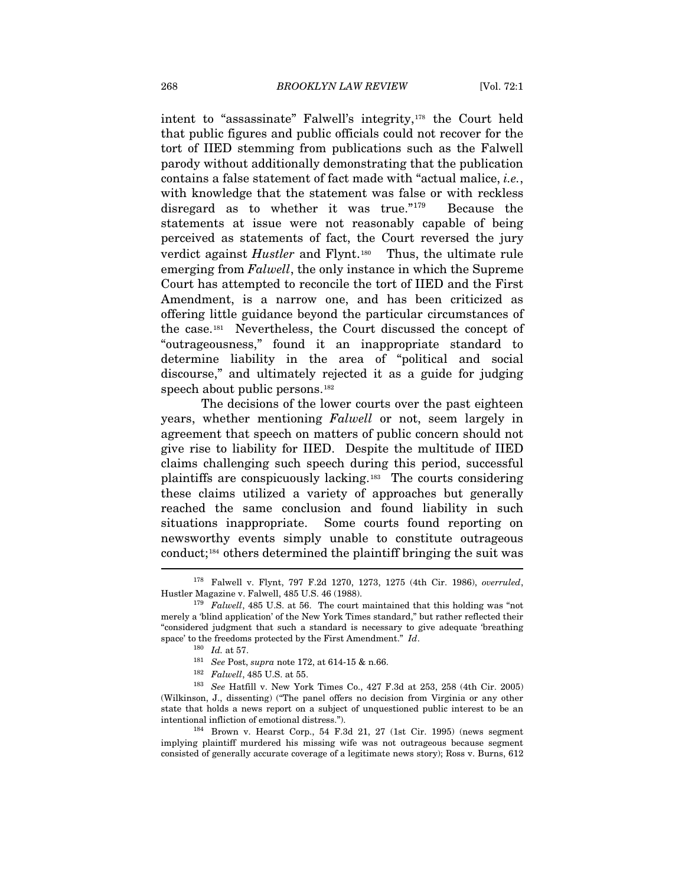intent to "assassinate" Falwell's integrity,[178](#page-32-0) the Court held that public figures and public officials could not recover for the tort of IIED stemming from publications such as the Falwell parody without additionally demonstrating that the publication contains a false statement of fact made with "actual malice, *i.e.*, with knowledge that the statement was false or with reckless disregard as to whether it was true."[179](#page-32-1) Because the statements at issue were not reasonably capable of being perceived as statements of fact, the Court reversed the jury verdict against *Hustler* and Flynt.<sup>[180](#page-32-2)</sup> Thus, the ultimate rule emerging from *Falwell*, the only instance in which the Supreme Court has attempted to reconcile the tort of IIED and the First Amendment, is a narrow one, and has been criticized as offering little guidance beyond the particular circumstances of the case.[181](#page-32-3) Nevertheless, the Court discussed the concept of "outrageousness," found it an inappropriate standard to determine liability in the area of "political and social discourse," and ultimately rejected it as a guide for judging speech about public persons.<sup>[182](#page-32-4)</sup>

The decisions of the lower courts over the past eighteen years, whether mentioning *Falwell* or not, seem largely in agreement that speech on matters of public concern should not give rise to liability for IIED. Despite the multitude of IIED claims challenging such speech during this period, successful plaintiffs are conspicuously lacking.[183](#page-32-5) The courts considering these claims utilized a variety of approaches but generally reached the same conclusion and found liability in such situations inappropriate. Some courts found reporting on newsworthy events simply unable to constitute outrageous conduct;[184](#page-32-6) others determined the plaintiff bringing the suit was

<span id="page-32-0"></span><sup>178</sup> Falwell v. Flynt, 797 F.2d 1270, 1273, 1275 (4th Cir. 1986), *overruled*, Hustler Magazine v. Falwell, 485 U.S. 46 (1988). 179 *Falwell*, 485 U.S. at 56. The court maintained that this holding was "not

<span id="page-32-1"></span>merely a 'blind application' of the New York Times standard," but rather reflected their "considered judgment that such a standard is necessary to give adequate 'breathing space' to the freedoms protected by the First Amendment."  $Id$ .

<span id="page-32-5"></span><span id="page-32-4"></span><span id="page-32-3"></span><span id="page-32-2"></span><sup>&</sup>lt;sup>180</sup> *Id.* at 57.<br><sup>181</sup> *See Post, supra note 172, at 614-15 & n.66.*<br><sup>182</sup> *Falwell, 485 U.S. at 55.*<br><sup>182</sup> *See Hatfill v. New York Times Co., 427 F.3d at 253, 258 (4th Cir. 2005)* (Wilkinson, J., dissenting) ("The panel offers no decision from Virginia or any other state that holds a news report on a subject of unquestioned public interest to be an intentional infliction of emotional distress.").

<span id="page-32-6"></span> $184$  Brown v. Hearst Corp., 54 F.3d 21, 27 (1st Cir. 1995) (news segment implying plaintiff murdered his missing wife was not outrageous because segment consisted of generally accurate coverage of a legitimate news story); Ross v. Burns, 612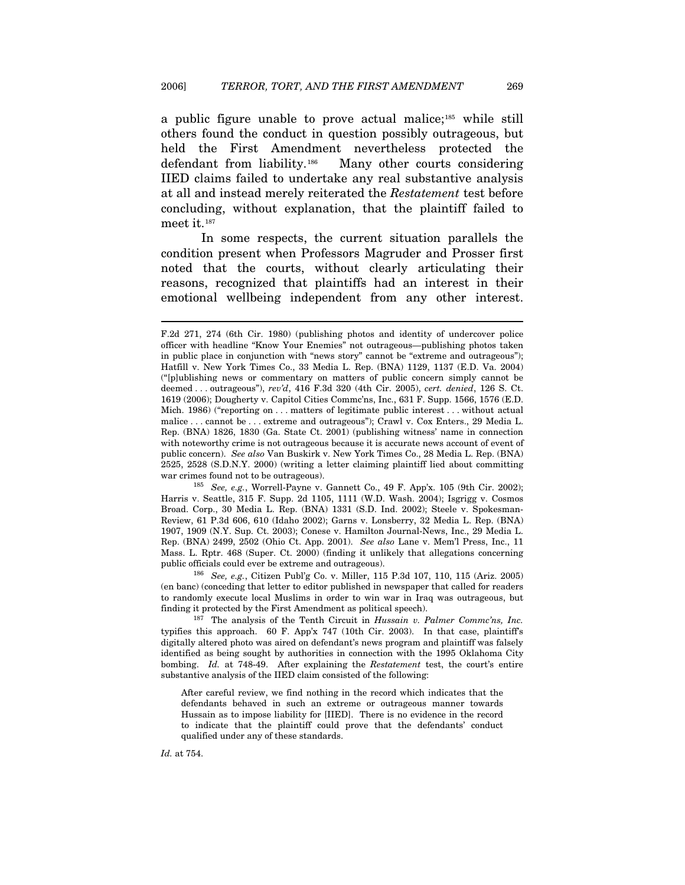a public figure unable to prove actual malice;[185](#page-33-0) while still others found the conduct in question possibly outrageous, but held the First Amendment nevertheless protected the defendant from liability.[186](#page-33-1) Many other courts considering IIED claims failed to undertake any real substantive analysis at all and instead merely reiterated the *Restatement* test before concluding, without explanation, that the plaintiff failed to meet it.<sup>[187](#page-33-2)</sup>

In some respects, the current situation parallels the condition present when Professors Magruder and Prosser first noted that the courts, without clearly articulating their reasons, recognized that plaintiffs had an interest in their emotional wellbeing independent from any other interest.

<span id="page-33-0"></span>Harris v. Seattle, 315 F. Supp. 2d 1105, 1111 (W.D. Wash. 2004); Isgrigg v. Cosmos Broad. Corp., 30 Media L. Rep. (BNA) 1331 (S.D. Ind. 2002); Steele v. Spokesman-Review, 61 P.3d 606, 610 (Idaho 2002); Garns v. Lonsberry, 32 Media L. Rep. (BNA) 1907, 1909 (N.Y. Sup. Ct. 2003); Conese v. Hamilton Journal-News, Inc., 29 Media L. Rep. (BNA) 2499, 2502 (Ohio Ct. App. 2001). *See also* Lane v. Mem'l Press, Inc., 11 Mass. L. Rptr. 468 (Super. Ct. 2000) (finding it unlikely that allegations concerning public officials could ever be extreme and outrageous). 186 *See, e.g.*, Citizen Publ'g Co. v. Miller, 115 P.3d 107, 110, 115 (Ariz. 2005)

<span id="page-33-1"></span>(en banc) (conceding that letter to editor published in newspaper that called for readers to randomly execute local Muslims in order to win war in Iraq was outrageous, but finding it protected by the First Amendment as political speech). 187 The analysis of the Tenth Circuit in *Hussain v. Palmer Commc'ns, Inc.*

<span id="page-33-2"></span>typifies this approach. 60 F. App'x 747 (10th Cir. 2003). In that case, plaintiff's digitally altered photo was aired on defendant's news program and plaintiff was falsely identified as being sought by authorities in connection with the 1995 Oklahoma City bombing. *Id.* at 748-49. After explaining the *Restatement* test, the court's entire substantive analysis of the IIED claim consisted of the following:

After careful review, we find nothing in the record which indicates that the defendants behaved in such an extreme or outrageous manner towards Hussain as to impose liability for [IIED]. There is no evidence in the record to indicate that the plaintiff could prove that the defendants' conduct qualified under any of these standards.

*Id.* at 754.

F.2d 271, 274 (6th Cir. 1980) (publishing photos and identity of undercover police officer with headline "Know Your Enemies" not outrageous—publishing photos taken in public place in conjunction with "news story" cannot be "extreme and outrageous"); Hatfill v. New York Times Co., 33 Media L. Rep. (BNA) 1129, 1137 (E.D. Va. 2004) ("[p]ublishing news or commentary on matters of public concern simply cannot be deemed . . . outrageous"), *rev'd*, 416 F.3d 320 (4th Cir. 2005), *cert. denied*, 126 S. Ct. 1619 (2006); Dougherty v. Capitol Cities Commc'ns, Inc., 631 F. Supp. 1566, 1576 (E.D. Mich. 1986) ("reporting on . . . matters of legitimate public interest . . . without actual malice . . . cannot be . . . extreme and outrageous"); Crawl v. Cox Enters., 29 Media L. Rep. (BNA) 1826, 1830 (Ga. State Ct. 2001) (publishing witness' name in connection with noteworthy crime is not outrageous because it is accurate news account of event of public concern). *See also* Van Buskirk v. New York Times Co., 28 Media L. Rep. (BNA) 2525, 2528 (S.D.N.Y. 2000) (writing a letter claiming plaintiff lied about committing war crimes found not to be outrageous).<br><sup>185</sup> *See, e.g.*, Worrell-Payne v. Gannett Co., 49 F. App'x. 105 (9th Cir. 2002);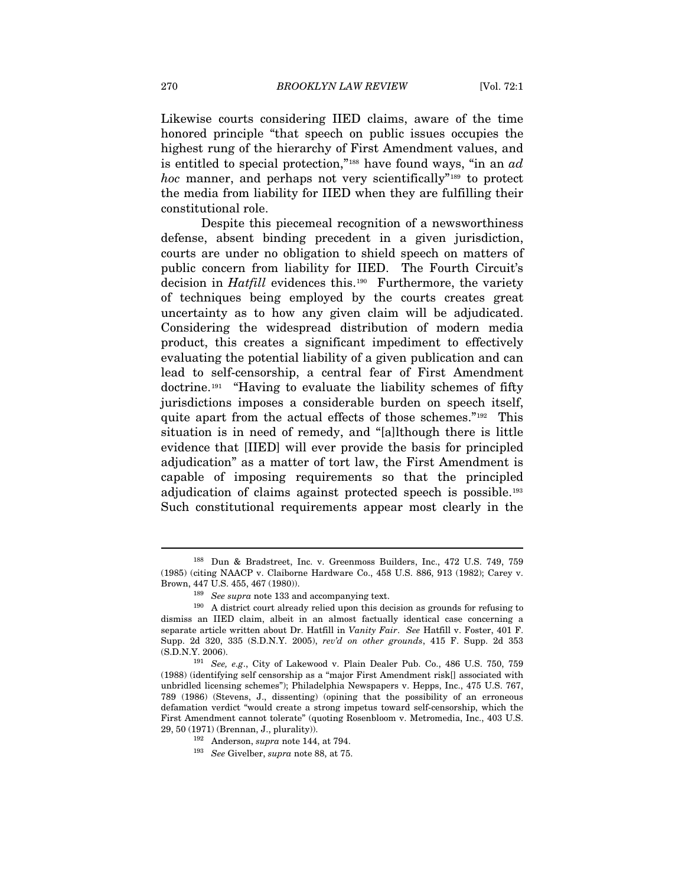Likewise courts considering IIED claims, aware of the time honored principle "that speech on public issues occupies the highest rung of the hierarchy of First Amendment values, and is entitled to special protection,"[188](#page-34-0) have found ways, "in an *ad hoc* manner, and perhaps not very scientifically"<sup>[189](#page-34-1)</sup> to protect the media from liability for IIED when they are fulfilling their constitutional role.

Despite this piecemeal recognition of a newsworthiness defense, absent binding precedent in a given jurisdiction, courts are under no obligation to shield speech on matters of public concern from liability for IIED. The Fourth Circuit's decision in *Hatfill* evidences this.<sup>[190](#page-34-2)</sup> Furthermore, the variety of techniques being employed by the courts creates great uncertainty as to how any given claim will be adjudicated. Considering the widespread distribution of modern media product, this creates a significant impediment to effectively evaluating the potential liability of a given publication and can lead to self-censorship, a central fear of First Amendment doctrine.[191](#page-34-3) "Having to evaluate the liability schemes of fifty jurisdictions imposes a considerable burden on speech itself, quite apart from the actual effects of those schemes."[192](#page-34-4) This situation is in need of remedy, and "[a]lthough there is little evidence that [IIED] will ever provide the basis for principled adjudication" as a matter of tort law, the First Amendment is capable of imposing requirements so that the principled adjudication of claims against protected speech is possible.[193](#page-34-5) Such constitutional requirements appear most clearly in the

<span id="page-34-0"></span><sup>188</sup> Dun & Bradstreet, Inc. v. Greenmoss Builders, Inc., 472 U.S. 749, 759 (1985) (citing NAACP v. Claiborne Hardware Co., 458 U.S. 886, 913 (1982); Carey v. Brown, 447 U.S. 455, 467 (1980)).<br><sup>189</sup> *See supra* note 133 and accompanying text.<br><sup>190</sup> A district court already relied upon this decision as grounds for refusing to

<span id="page-34-2"></span><span id="page-34-1"></span>dismiss an IIED claim, albeit in an almost factually identical case concerning a separate article written about Dr. Hatfill in *Vanity Fair*. *See* Hatfill v. Foster, 401 F. Supp. 2d 320, 335 (S.D.N.Y. 2005), *rev'd on other grounds*, 415 F. Supp. 2d 353 (S.D.N.Y. 2006). 191 *See, e.g*., City of Lakewood v. Plain Dealer Pub. Co., 486 U.S. 750, 759

<span id="page-34-5"></span><span id="page-34-4"></span><span id="page-34-3"></span><sup>(1988) (</sup>identifying self censorship as a "major First Amendment risk[] associated with unbridled licensing schemes"); Philadelphia Newspapers v. Hepps, Inc., 475 U.S. 767, 789 (1986) (Stevens, J., dissenting) (opining that the possibility of an erroneous defamation verdict "would create a strong impetus toward self-censorship, which the First Amendment cannot tolerate" (quoting Rosenbloom v. Metromedia, Inc., 403 U.S. 29, 50 (1971) (Brennan, J., plurality)). 192 Anderson, *supra* note 144, at 794. 193 *See* Givelber, *supra* note 88, at 75.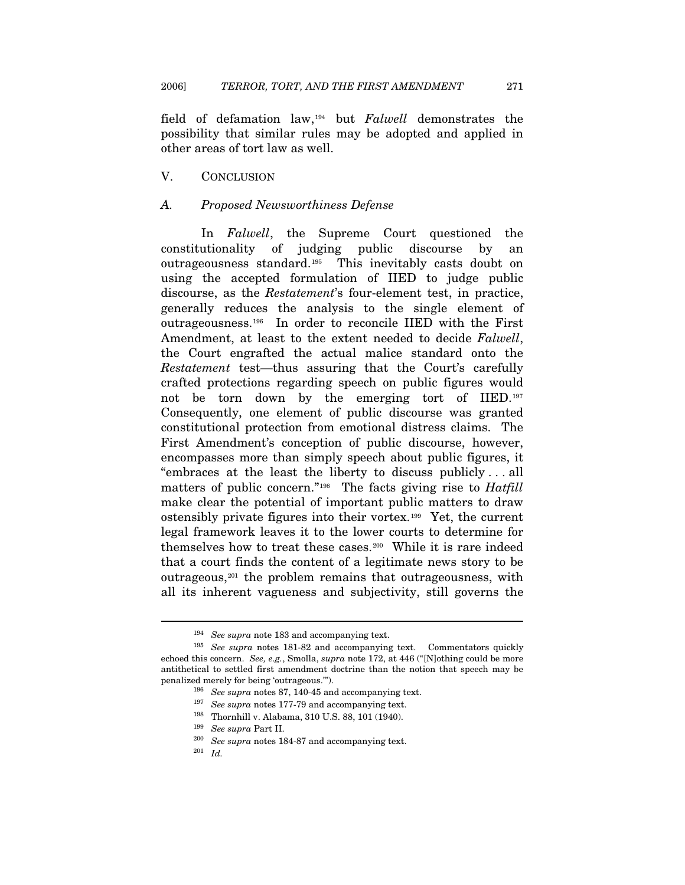field of defamation law,[194](#page-35-0) but *Falwell* demonstrates the possibility that similar rules may be adopted and applied in other areas of tort law as well.

# V. CONCLUSION

### *A. Proposed Newsworthiness Defense*

In *Falwell*, the Supreme Court questioned the constitutionality of judging public discourse by an outrageousness standard.[195](#page-35-1) This inevitably casts doubt on using the accepted formulation of IIED to judge public discourse, as the *Restatement*'s four-element test, in practice, generally reduces the analysis to the single element of outrageousness.[196](#page-35-2) In order to reconcile IIED with the First Amendment, at least to the extent needed to decide *Falwell*, the Court engrafted the actual malice standard onto the *Restatement* test—thus assuring that the Court's carefully crafted protections regarding speech on public figures would not be torn down by the emerging tort of IIED.[197](#page-35-3) Consequently, one element of public discourse was granted constitutional protection from emotional distress claims. The First Amendment's conception of public discourse, however, encompasses more than simply speech about public figures, it "embraces at the least the liberty to discuss publicly . . . all matters of public concern."[198](#page-35-4) The facts giving rise to *Hatfill* make clear the potential of important public matters to draw ostensibly private figures into their vortex.[199](#page-35-5) Yet, the current legal framework leaves it to the lower courts to determine for themselves how to treat these cases.[200](#page-35-6) While it is rare indeed that a court finds the content of a legitimate news story to be outrageous,[201](#page-35-7) the problem remains that outrageousness, with all its inherent vagueness and subjectivity, still governs the

<sup>194</sup> *See supra* note 183 and accompanying text.

<span id="page-35-7"></span><span id="page-35-6"></span><span id="page-35-5"></span><span id="page-35-4"></span><span id="page-35-3"></span><span id="page-35-2"></span><span id="page-35-1"></span><span id="page-35-0"></span><sup>195</sup> *See supra* notes 181-82 and accompanying text. Commentators quickly echoed this concern. *See, e.g.*, Smolla, *supra* note 172, at 446 ("[N]othing could be more antithetical to settled first amendment doctrine than the notion that speech may be penalized merely for being 'outrageous.'").<br><sup>196</sup> See supra notes 87, 140-45 and accompanying text.<br><sup>197</sup> See supra notes 177-79 and accompanying text.<br><sup>198</sup> Thornhill v. Alabama, 310 U.S. 88, 101 (1940).

<sup>199</sup> *See supra* Part II. 200 *See supra* notes 184-87 and accompanying text. 201 *Id.*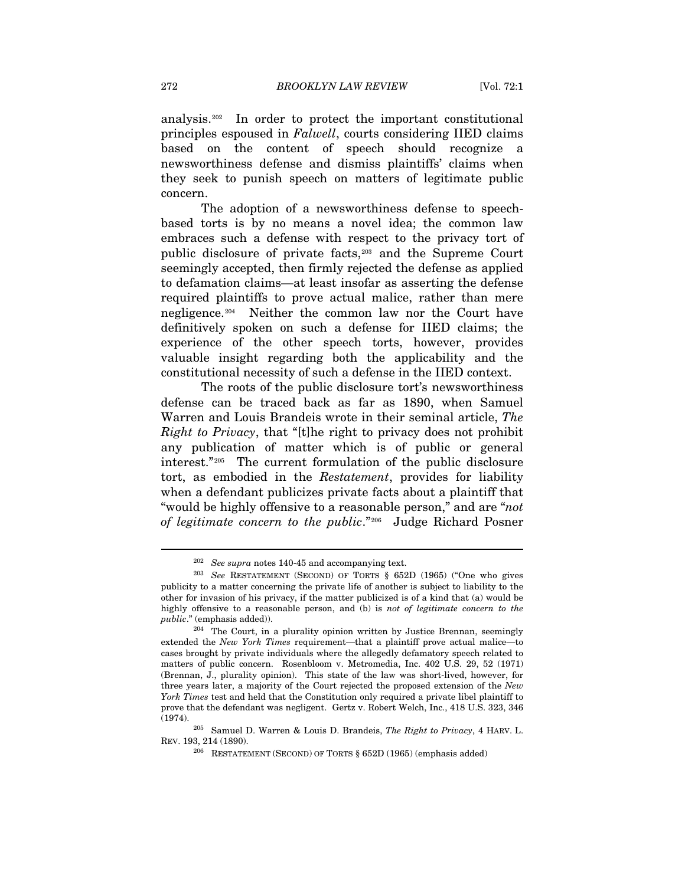analysis.[202](#page-36-0) In order to protect the important constitutional principles espoused in *Falwell*, courts considering IIED claims based on the content of speech should recognize a newsworthiness defense and dismiss plaintiffs' claims when they seek to punish speech on matters of legitimate public concern.

The adoption of a newsworthiness defense to speechbased torts is by no means a novel idea; the common law embraces such a defense with respect to the privacy tort of public disclosure of private facts,[203](#page-36-1) and the Supreme Court seemingly accepted, then firmly rejected the defense as applied to defamation claims—at least insofar as asserting the defense required plaintiffs to prove actual malice, rather than mere negligence.[204](#page-36-2) Neither the common law nor the Court have definitively spoken on such a defense for IIED claims; the experience of the other speech torts, however, provides valuable insight regarding both the applicability and the constitutional necessity of such a defense in the IIED context.

The roots of the public disclosure tort's newsworthiness defense can be traced back as far as 1890, when Samuel Warren and Louis Brandeis wrote in their seminal article, *The Right to Privacy*, that "[t]he right to privacy does not prohibit any publication of matter which is of public or general interest."[205](#page-36-3) The current formulation of the public disclosure tort, as embodied in the *Restatement*, provides for liability when a defendant publicizes private facts about a plaintiff that "would be highly offensive to a reasonable person," and are "*not of legitimate concern to the public*."[206](#page-36-4) Judge Richard Posner

<span id="page-36-1"></span><span id="page-36-0"></span><sup>202</sup> *See supra* notes 140-45 and accompanying text. 203 *See* RESTATEMENT (SECOND) OF TORTS § 652D (1965) ("One who gives publicity to a matter concerning the private life of another is subject to liability to the other for invasion of his privacy, if the matter publicized is of a kind that (a) would be highly offensive to a reasonable person, and (b) is *not of legitimate concern to the public*." (emphasis added)).

<span id="page-36-2"></span> $204$  The Court, in a plurality opinion written by Justice Brennan, seemingly extended the *New York Times* requirement—that a plaintiff prove actual malice—to cases brought by private individuals where the allegedly defamatory speech related to matters of public concern. Rosenbloom v. Metromedia, Inc. 402 U.S. 29, 52 (1971) (Brennan, J., plurality opinion). This state of the law was short-lived, however, for three years later, a majority of the Court rejected the proposed extension of the *New York Times* test and held that the Constitution only required a private libel plaintiff to prove that the defendant was negligent. Gertz v. Robert Welch, Inc., 418 U.S. 323, 346

<span id="page-36-4"></span><span id="page-36-3"></span><sup>(1974). 205</sup> Samuel D. Warren & Louis D. Brandeis, *The Right to Privacy*, 4 HARV. L. REV. 193, 214 (1890).<br><sup>206</sup> RESTATEMENT (SECOND) OF TORTS § 652D (1965) (emphasis added)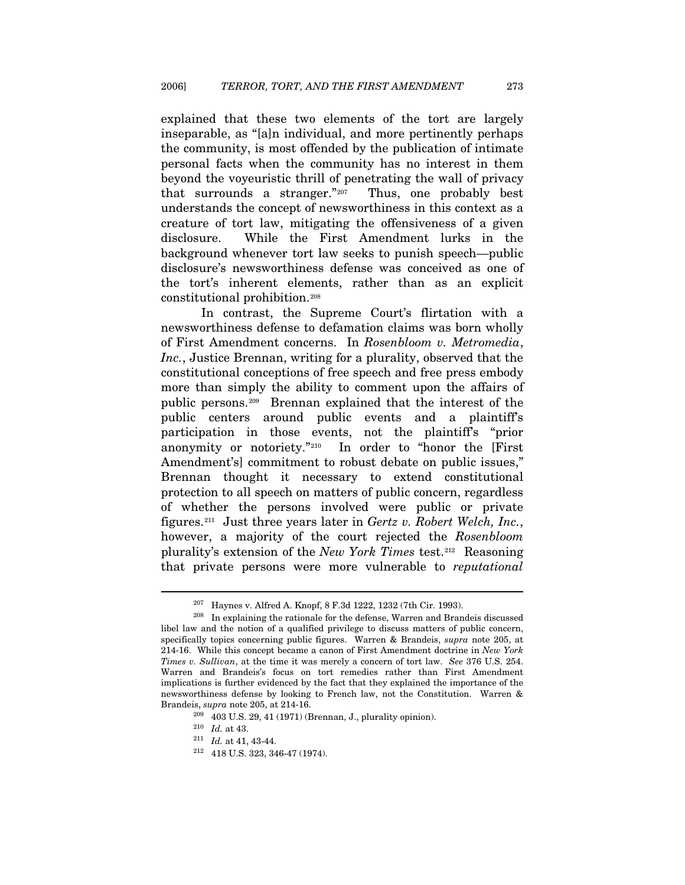explained that these two elements of the tort are largely inseparable, as "[a]n individual, and more pertinently perhaps the community, is most offended by the publication of intimate personal facts when the community has no interest in them beyond the voyeuristic thrill of penetrating the wall of privacy that surrounds a stranger."[207](#page-37-0) Thus, one probably best understands the concept of newsworthiness in this context as a creature of tort law, mitigating the offensiveness of a given disclosure. While the First Amendment lurks in the background whenever tort law seeks to punish speech—public disclosure's newsworthiness defense was conceived as one of the tort's inherent elements, rather than as an explicit constitutional prohibition.[208](#page-37-1)

In contrast, the Supreme Court's flirtation with a newsworthiness defense to defamation claims was born wholly of First Amendment concerns. In *Rosenbloom v. Metromedia*, *Inc.*, Justice Brennan, writing for a plurality, observed that the constitutional conceptions of free speech and free press embody more than simply the ability to comment upon the affairs of public persons[.209](#page-37-2) Brennan explained that the interest of the public centers around public events and a plaintiff's participation in those events, not the plaintiff's "prior anonymity or notoriety."[210](#page-37-3) In order to "honor the [First Amendment's commitment to robust debate on public issues," Brennan thought it necessary to extend constitutional protection to all speech on matters of public concern, regardless of whether the persons involved were public or private figures.[211](#page-37-4) Just three years later in *Gertz v. Robert Welch, Inc.*, however, a majority of the court rejected the *Rosenbloom* plurality's extension of the *New York Times* test.[212](#page-37-5)Reasoning that private persons were more vulnerable to *reputational*

<sup>&</sup>lt;sup>207</sup> Haynes v. Alfred A. Knopf, 8 F.3d 1222, 1232 (7th Cir. 1993).<br><sup>208</sup> In explaining the rationale for the defense, Warren and Brandeis discussed

<span id="page-37-2"></span><span id="page-37-1"></span><span id="page-37-0"></span>libel law and the notion of a qualified privilege to discuss matters of public concern, specifically topics concerning public figures. Warren & Brandeis, *supra* note 205, at 214-16. While this concept became a canon of First Amendment doctrine in *New York Times v. Sullivan*, at the time it was merely a concern of tort law. *See* 376 U.S. 254. Warren and Brandeis's focus on tort remedies rather than First Amendment implications is further evidenced by the fact that they explained the importance of the newsworthiness defense by looking to French law, not the Constitution. Warren & Brandeis, *supra* note 205, at 214-16.<br><sup>209</sup> 403 U.S. 29, 41 (1971) (Brennan, J., plurality opinion).<br><sup>210</sup> *Id.* at 43.

<span id="page-37-5"></span><span id="page-37-4"></span><span id="page-37-3"></span><sup>210</sup> *Id.* at 43. 211 *Id.* at 41, 43-44. 212 418 U.S. 323, 346-47 (1974).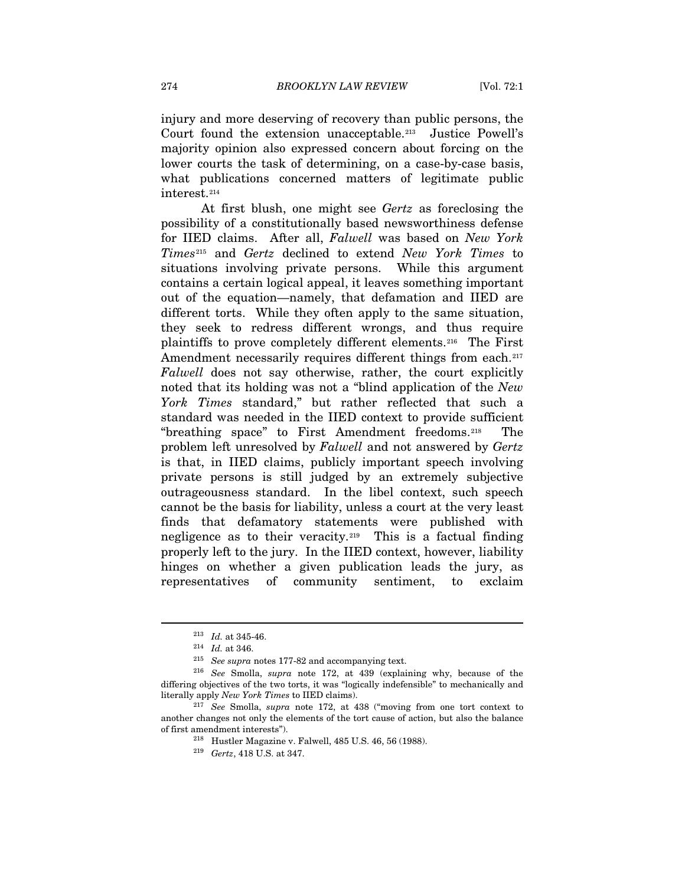injury and more deserving of recovery than public persons, the Court found the extension unacceptable.[213](#page-38-0) Justice Powell's majority opinion also expressed concern about forcing on the lower courts the task of determining, on a case-by-case basis, what publications concerned matters of legitimate public interest.[214](#page-38-1)

At first blush, one might see *Gertz* as foreclosing the possibility of a constitutionally based newsworthiness defense for IIED claims. After all, *Falwell* was based on *New York Times*[215](#page-38-2) and *Gertz* declined to extend *New York Times* to situations involving private persons. While this argument contains a certain logical appeal, it leaves something important out of the equation—namely, that defamation and IIED are different torts. While they often apply to the same situation, they seek to redress different wrongs, and thus require plaintiffs to prove completely different elements.[216](#page-38-3) The First Amendment necessarily requires different things from each.<sup>[217](#page-38-4)</sup> *Falwell* does not say otherwise, rather, the court explicitly noted that its holding was not a "blind application of the *New York Times* standard," but rather reflected that such a standard was needed in the IIED context to provide sufficient "breathing space" to First Amendment freedoms.[218](#page-38-5) The problem left unresolved by *Falwell* and not answered by *Gertz* is that, in IIED claims, publicly important speech involving private persons is still judged by an extremely subjective outrageousness standard. In the libel context, such speech cannot be the basis for liability, unless a court at the very least finds that defamatory statements were published with negligence as to their veracity.<sup>[219](#page-38-6)</sup> This is a factual finding properly left to the jury. In the IIED context, however, liability hinges on whether a given publication leads the jury, as representatives of community sentiment, to exclaim

<span id="page-38-2"></span><span id="page-38-1"></span><span id="page-38-0"></span><sup>213</sup> *Id.* at 345-46. 214 *Id.* at 346. 215 *See supra* notes 177-82 and accompanying text. 216 *See* Smolla, *supra* note 172, at 439 (explaining why, because of the differing objectives of the two torts, it was "logically indefensible" to mechanically and literally apply *New York Times* to IIED claims).

<span id="page-38-6"></span><span id="page-38-5"></span><span id="page-38-4"></span><span id="page-38-3"></span><sup>217</sup> *See* Smolla, *supra* note 172, at 438 ("moving from one tort context to another changes not only the elements of the tort cause of action, but also the balance of first amendment interests"). 218 Hustler Magazine v. Falwell, 485 U.S. 46, 56 (1988). 219 *Gertz*, 418 U.S. at 347.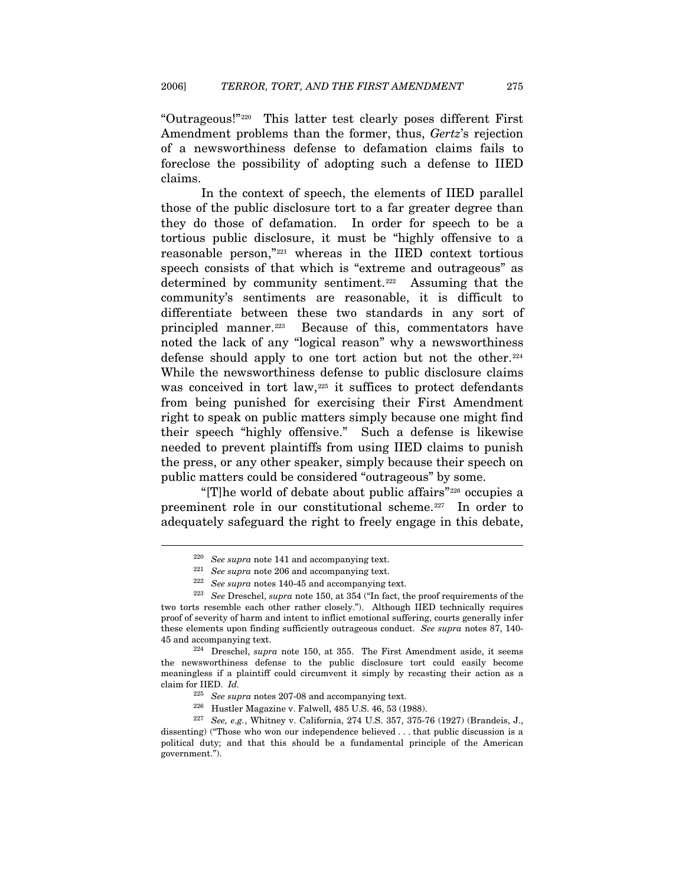"Outrageous!"[220](#page-39-0) This latter test clearly poses different First Amendment problems than the former, thus, *Gertz*'s rejection of a newsworthiness defense to defamation claims fails to foreclose the possibility of adopting such a defense to IIED claims.

In the context of speech, the elements of IIED parallel those of the public disclosure tort to a far greater degree than they do those of defamation. In order for speech to be a tortious public disclosure, it must be "highly offensive to a reasonable person,"[221](#page-39-1) whereas in the IIED context tortious speech consists of that which is "extreme and outrageous" as determined by community sentiment.[222](#page-39-2) Assuming that the community's sentiments are reasonable, it is difficult to differentiate between these two standards in any sort of principled manner.[223](#page-39-3) Because of this, commentators have noted the lack of any "logical reason" why a newsworthiness defense should apply to one tort action but not the other.[224](#page-39-4) While the newsworthiness defense to public disclosure claims was conceived in tort law,<sup>[225](#page-39-5)</sup> it suffices to protect defendants from being punished for exercising their First Amendment right to speak on public matters simply because one might find their speech "highly offensive." Such a defense is likewise needed to prevent plaintiffs from using IIED claims to punish the press, or any other speaker, simply because their speech on public matters could be considered "outrageous" by some.

"[T]he world of debate about public affairs"[226](#page-39-6) occupies a preeminent role in our constitutional scheme.[227](#page-39-7) In order to adequately safeguard the right to freely engage in this debate,

 $\begin{array}{ll} \textit{220} & \textit{See supra note} \text{ 141 and accompanying text.} \\ \textit{221} & \textit{See supra note} \text{ 206 and accompanying text.} \end{array}$ 

<span id="page-39-3"></span><span id="page-39-2"></span><span id="page-39-1"></span><span id="page-39-0"></span><sup>&</sup>lt;sup>222</sup> See supra notes 140-45 and accompanying text.<br><sup>223</sup> See Dreschel, *supra* note 150, at 354 ("In fact, the proof requirements of the two torts resemble each other rather closely."). Although IIED technically requires proof of severity of harm and intent to inflict emotional suffering, courts generally infer these elements upon finding sufficiently outrageous conduct. *See supra* notes 87, 140- 45 and accompanying text. 224 Dreschel, *supra* note 150, at 355. The First Amendment aside, it seems

<span id="page-39-4"></span>the newsworthiness defense to the public disclosure tort could easily become meaningless if a plaintiff could circumvent it simply by recasting their action as a claim for IIED. *Id.*

<span id="page-39-7"></span><span id="page-39-6"></span><span id="page-39-5"></span><sup>225</sup> *See supra* notes 207-08 and accompanying text. 226 Hustler Magazine v. Falwell, 485 U.S. 46, 53 (1988). 227 *See, e.g.*, Whitney v. California, 274 U.S. 357, 375-76 (1927) (Brandeis, J., dissenting) ("Those who won our independence believed . . . that public discussion is a political duty; and that this should be a fundamental principle of the American government.").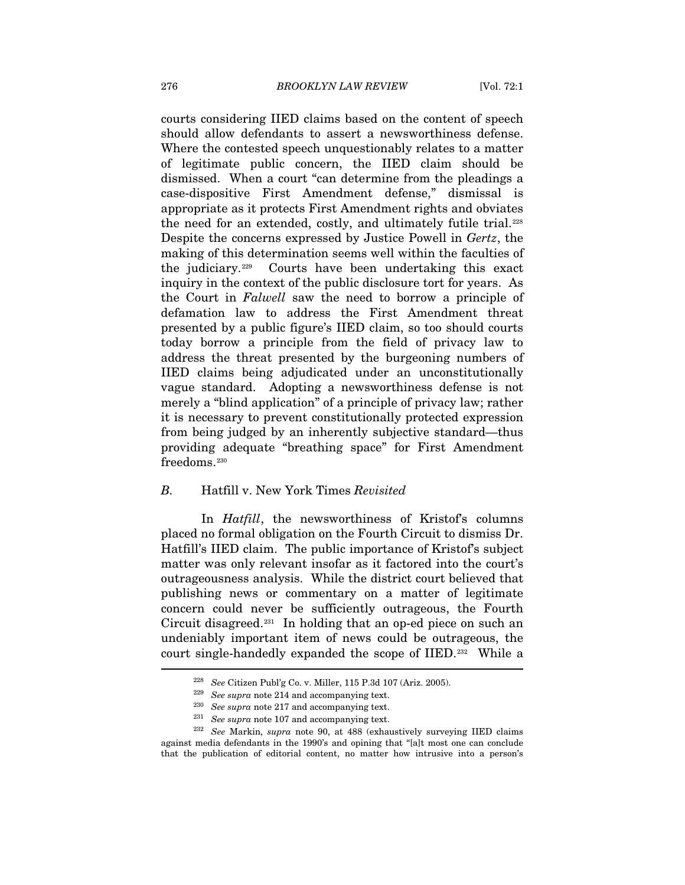courts considering IIED claims based on the content of speech should allow defendants to assert a newsworthiness defense. Where the contested speech unquestionably relates to a matter of legitimate public concern, the IIED claim should be dismissed. When a court "can determine from the pleadings a case-dispositive First Amendment defense," dismissal is appropriate as it protects First Amendment rights and obviates the need for an extended, costly, and ultimately futile trial.[228](#page-40-0) Despite the concerns expressed by Justice Powell in *Gertz*, the making of this determination seems well within the faculties of the judiciary.[229](#page-40-1) Courts have been undertaking this exact inquiry in the context of the public disclosure tort for years. As the Court in *Falwell* saw the need to borrow a principle of defamation law to address the First Amendment threat presented by a public figure's IIED claim, so too should courts today borrow a principle from the field of privacy law to address the threat presented by the burgeoning numbers of IIED claims being adjudicated under an unconstitutionally vague standard. Adopting a newsworthiness defense is not merely a "blind application" of a principle of privacy law; rather it is necessary to prevent constitutionally protected expression from being judged by an inherently subjective standard—thus providing adequate "breathing space" for First Amendment freedoms.<sup>[230](#page-40-2)</sup>

#### *B.* Hatfill v. New York Times *Revisited*

In *Hatfill*, the newsworthiness of Kristof's columns placed no formal obligation on the Fourth Circuit to dismiss Dr. Hatfill's IIED claim. The public importance of Kristof's subject matter was only relevant insofar as it factored into the court's outrageousness analysis. While the district court believed that publishing news or commentary on a matter of legitimate concern could never be sufficiently outrageous, the Fourth Circuit disagreed.<sup>[231](#page-40-3)</sup> In holding that an op-ed piece on such an undeniably important item of news could be outrageous, the court single-handedly expanded the scope of IIED.<sup>[232](#page-40-4)</sup> While a

<sup>228</sup> *See* Citizen Publ'g Co. v. Miller, 115 P.3d 107 (Ariz. 2005). 229 *See supra* note 214 and accompanying text.

<sup>230</sup> *See supra* note 217 and accompanying text.

<sup>231</sup> *See supra* note 107 and accompanying text.

<span id="page-40-4"></span><span id="page-40-3"></span><span id="page-40-2"></span><span id="page-40-1"></span><span id="page-40-0"></span><sup>232</sup> *See* Markin, *supra* note 90, at 488 (exhaustively surveying IIED claims against media defendants in the 1990's and opining that "[a]t most one can conclude that the publication of editorial content, no matter how intrusive into a person's